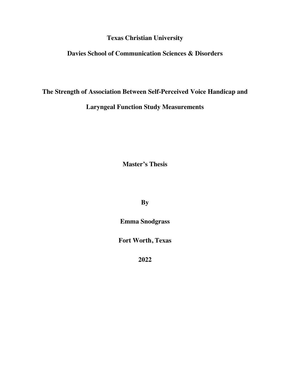**Texas Christian University**

# **Davies School of Communication Sciences & Disorders**

# **The Strength of Association Between Self-Perceived Voice Handicap and**

# **Laryngeal Function Study Measurements**

**Master's Thesis** 

**By**

**Emma Snodgrass**

**Fort Worth, Texas**

**2022**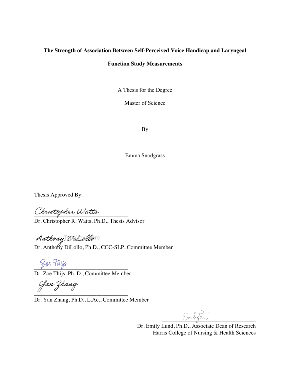# **The Strength of Association Between Self-Perceived Voice Handicap and Laryngeal**

# **Function Study Measurements**

A Thesis for the Degree

Master of Science

By

Emma Snodgrass

Thesis Approved By:

Christopher Watts

Dr. Christopher R. Watts, Ph.D., Thesis Advisor

 $N$ nchong processe Type *tea tea*re

Dr. Anthony DiLollo, Ph.D., CCC-SLP, Committee Member

Zoe Thijs

Dr. Zoë Thijs, Ph. D., Committee Member

 $\overline{\phantom{a}}$  , where  $\overline{\phantom{a}}$  , where  $\overline{\phantom{a}}$  ,  $\overline{\phantom{a}}$  ,  $\overline{\phantom{a}}$  ,  $\overline{\phantom{a}}$  ,  $\overline{\phantom{a}}$  ,  $\overline{\phantom{a}}$  ,  $\overline{\phantom{a}}$  ,  $\overline{\phantom{a}}$  ,  $\overline{\phantom{a}}$  ,  $\overline{\phantom{a}}$  ,  $\overline{\phantom{a}}$  ,  $\overline{\phantom{a}}$  ,  $\overline{\phantom{a}}$  ,

Dr. Yan Zhang, Ph.D., L.Ac., Committee Member

 $m$ ling

Dr. Emily Lund, Ph.D., Associate Dean of Research Harris College of Nursing & Health Sciences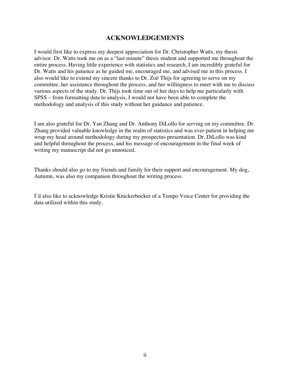# **ACKNOWLEDGEMENTS**

I would first like to express my deepest appreciation for Dr. Christopher Watts, my thesis advisor. Dr. Watts took me on as a "last minute" thesis student and supported me throughout the entire process. Having little experience with statistics and research, I am incredibly grateful for Dr. Watts and his patience as he guided me, encouraged me, and advised me in this process. I also would like to extend my sincere thanks to Dr. Zoë Thijs for agreeing to serve on my committee, her assistance throughout the process, and her willingness to meet with me to discuss various aspects of the study. Dr. Thijs took time out of her days to help me particularly with SPSS – from formatting data to analysis, I would not have been able to complete the methodology and analysis of this study without her guidance and patience.

I am also grateful for Dr. Yan Zhang and Dr. Anthony DiLollo for serving on my committee. Dr. Zhang provided valuable knowledge in the realm of statistics and was ever-patient in helping me wrap my head around methodology during my prospectus presentation. Dr. DiLollo was kind and helpful throughout the process, and his message of encouragement in the final week of writing my manuscript did not go unnoticed.

Thanks should also go to my friends and family for their support and encouragement. My dog, Autumn, was also my companion throughout the writing process.

I'd also like to acknowledge Kristie Knickerbocker of a Tempo Voice Center for providing the data utilized within this study.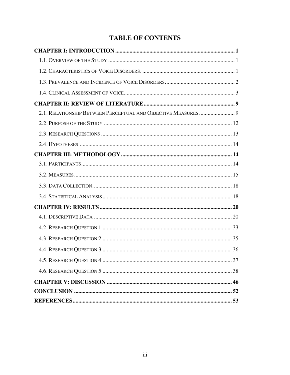# **TABLE OF CONTENTS**

| 2.1. RELATIONSHIP BETWEEN PERCEPTUAL AND OBJECTIVE MEASURES  9 |  |
|----------------------------------------------------------------|--|
|                                                                |  |
|                                                                |  |
|                                                                |  |
|                                                                |  |
|                                                                |  |
|                                                                |  |
|                                                                |  |
|                                                                |  |
|                                                                |  |
|                                                                |  |
|                                                                |  |
|                                                                |  |
|                                                                |  |
|                                                                |  |
|                                                                |  |
|                                                                |  |
|                                                                |  |
|                                                                |  |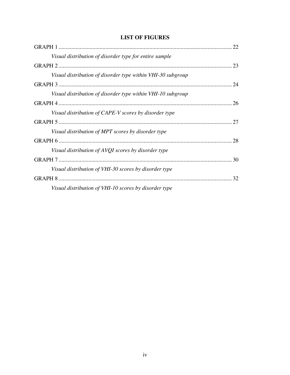| <b>LIST OF FIGURES</b> |  |  |
|------------------------|--|--|
|                        |  |  |

| Visual distribution of disorder type for entire sample      |    |
|-------------------------------------------------------------|----|
|                                                             |    |
| Visual distribution of disorder type within VHI-30 subgroup |    |
|                                                             |    |
| Visual distribution of disorder type within VHI-10 subgroup |    |
|                                                             | 26 |
| Visual distribution of CAPE-V scores by disorder type       |    |
|                                                             |    |
| Visual distribution of MPT scores by disorder type          |    |
|                                                             | 28 |
| Visual distribution of AVQI scores by disorder type         |    |
|                                                             |    |
| Visual distribution of VHI-30 scores by disorder type       |    |
|                                                             |    |
| Visual distribution of VHI-10 scores by disorder type       |    |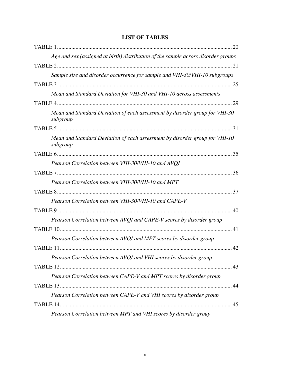| Age and sex (assigned at birth) distribution of the sample across disorder groups       |
|-----------------------------------------------------------------------------------------|
|                                                                                         |
| Sample size and disorder occurrence for sample and VHI-30/VHI-10 subgroups              |
|                                                                                         |
| Mean and Standard Deviation for VHI-30 and VHI-10 across assessments                    |
|                                                                                         |
| Mean and Standard Deviation of each assessment by disorder group for VHI-30<br>subgroup |
|                                                                                         |
| Mean and Standard Deviation of each assessment by disorder group for VHI-10<br>subgroup |
|                                                                                         |
| Pearson Correlation between VHI-30/VHI-10 and AVQI                                      |
|                                                                                         |
| Pearson Correlation between VHI-30/VHI-10 and MPT                                       |
|                                                                                         |
| Pearson Correlation between VHI-30/VHI-10 and CAPE-V                                    |
|                                                                                         |
| Pearson Correlation between AVQI and CAPE-V scores by disorder group                    |
|                                                                                         |
| Pearson Correlation between AVQI and MPT scores by disorder group                       |
|                                                                                         |
| Pearson Correlation between AVQI and VHI scores by disorder group                       |
|                                                                                         |
| Pearson Correlation between CAPE-V and MPT scores by disorder group                     |
|                                                                                         |
| Pearson Correlation between CAPE-V and VHI scores by disorder group                     |
|                                                                                         |
| Pearson Correlation between MPT and VHI scores by disorder group                        |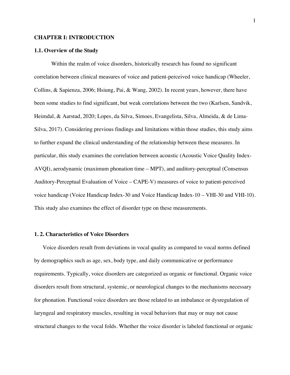## **CHAPTER I: INTRODUCTION**

### **1.1. Overview of the Study**

Within the realm of voice disorders, historically research has found no significant correlation between clinical measures of voice and patient-perceived voice handicap (Wheeler, Collins, & Sapienza, 2006; Hsiung, Pai, & Wang, 2002). In recent years, however, there have been some studies to find significant, but weak correlations between the two (Karlsen, Sandvik, Heimdal, & Aarstad, 2020; Lopes, da Silva, Simoes, Evangelista, Silva, Almeida, & de Lima-Silva, 2017). Considering previous findings and limitations within those studies, this study aims to further expand the clinical understanding of the relationship between these measures. In particular, this study examines the correlation between acoustic (Acoustic Voice Quality Index-AVQI), aerodynamic (maximum phonation time – MPT), and auditory-perceptual (Consensus Auditory-Perceptual Evaluation of Voice – CAPE-V) measures of voice to patient-perceived voice handicap (Voice Handicap Index-30 and Voice Handicap Index-10 – VHI-30 and VHI-10). This study also examines the effect of disorder type on these measurements.

# **1. 2. Characteristics of Voice Disorders**

Voice disorders result from deviations in vocal quality as compared to vocal norms defined by demographics such as age, sex, body type, and daily communicative or performance requirements. Typically, voice disorders are categorized as organic or functional. Organic voice disorders result from structural, systemic, or neurological changes to the mechanisms necessary for phonation. Functional voice disorders are those related to an imbalance or dysregulation of laryngeal and respiratory muscles, resulting in vocal behaviors that may or may not cause structural changes to the vocal folds. Whether the voice disorder is labeled functional or organic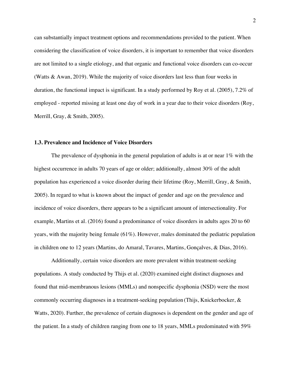can substantially impact treatment options and recommendations provided to the patient. When considering the classification of voice disorders, it is important to remember that voice disorders are not limited to a single etiology, and that organic and functional voice disorders can co-occur (Watts & Awan, 2019). While the majority of voice disorders last less than four weeks in duration, the functional impact is significant. In a study performed by Roy et al. (2005), 7.2% of employed - reported missing at least one day of work in a year due to their voice disorders (Roy, Merrill, Gray, & Smith, 2005).

## **1.3. Prevalence and Incidence of Voice Disorders**

The prevalence of dysphonia in the general population of adults is at or near 1% with the highest occurrence in adults 70 years of age or older; additionally, almost 30% of the adult population has experienced a voice disorder during their lifetime (Roy, Merrill, Gray, & Smith, 2005). In regard to what is known about the impact of gender and age on the prevalence and incidence of voice disorders, there appears to be a significant amount of intersectionality. For example, Martins et al. (2016) found a predominance of voice disorders in adults ages 20 to 60 years, with the majority being female (61%). However, males dominated the pediatric population in children one to 12 years (Martins, do Amaral, Tavares, Martins, Gonçalves, & Dias, 2016).

Additionally, certain voice disorders are more prevalent within treatment-seeking populations. A study conducted by Thijs et al. (2020) examined eight distinct diagnoses and found that mid-membranous lesions (MMLs) and nonspecific dysphonia (NSD) were the most commonly occurring diagnoses in a treatment-seeking population (Thijs, Knickerbocker, & Watts, 2020). Further, the prevalence of certain diagnoses is dependent on the gender and age of the patient. In a study of children ranging from one to 18 years, MMLs predominated with 59%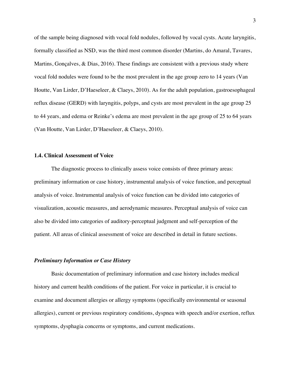of the sample being diagnosed with vocal fold nodules, followed by vocal cysts. Acute laryngitis, formally classified as NSD, was the third most common disorder (Martins, do Amaral, Tavares, Martins, Gonçalves,  $\&$  Dias, 2016). These findings are consistent with a previous study where vocal fold nodules were found to be the most prevalent in the age group zero to 14 years (Van Houtte, Van Lirder, D'Haeseleer, & Claeys, 2010). As for the adult population, gastroesophageal reflux disease (GERD) with laryngitis, polyps, and cysts are most prevalent in the age group 25 to 44 years, and edema or Reinke's edema are most prevalent in the age group of 25 to 64 years (Van Houtte, Van Lirder, D'Haeseleer, & Claeys, 2010).

## **1.4. Clinical Assessment of Voice**

The diagnostic process to clinically assess voice consists of three primary areas: preliminary information or case history, instrumental analysis of voice function, and perceptual analysis of voice. Instrumental analysis of voice function can be divided into categories of visualization, acoustic measures, and aerodynamic measures. Perceptual analysis of voice can also be divided into categories of auditory-perceptual judgment and self-perception of the patient. All areas of clinical assessment of voice are described in detail in future sections.

# *Preliminary Information or Case History*

Basic documentation of preliminary information and case history includes medical history and current health conditions of the patient. For voice in particular, it is crucial to examine and document allergies or allergy symptoms (specifically environmental or seasonal allergies), current or previous respiratory conditions, dyspnea with speech and/or exertion, reflux symptoms, dysphagia concerns or symptoms, and current medications.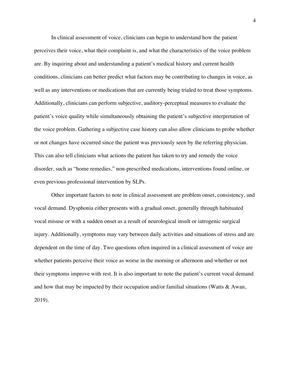In clinical assessment of voice, clinicians can begin to understand how the patient perceives their voice, what their complaint is, and what the characteristics of the voice problem are. By inquiring about and understanding a patient's medical history and current health conditions, clinicians can better predict what factors may be contributing to changes in voice, as well as any interventions or medications that are currently being trialed to treat those symptoms. Additionally, clinicians can perform subjective, auditory-perceptual measures to evaluate the patient's voice quality while simultaneously obtaining the patient's subjective interpretation of the voice problem. Gathering a subjective case history can also allow clinicians to probe whether or not changes have occurred since the patient was previously seen by the referring physician. This can also tell clinicians what actions the patient has taken to try and remedy the voice disorder, such as "home remedies," non-prescribed medications, interventions found online, or even previous professional intervention by SLPs.

Other important factors to note in clinical assessment are problem onset, consistency, and vocal demand. Dysphonia either presents with a gradual onset, generally through habituated vocal misuse or with a sudden onset as a result of neurological insult or iatrogenic surgical injury. Additionally, symptoms may vary between daily activities and situations of stress and are dependent on the time of day. Two questions often inquired in a clinical assessment of voice are whether patients perceive their voice as worse in the morning or afternoon and whether or not their symptoms improve with rest. It is also important to note the patient's current vocal demand and how that may be impacted by their occupation and/or familial situations (Watts & Awan, 2019).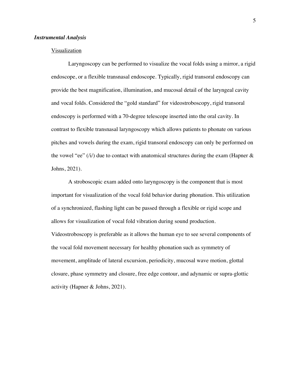#### *Instrumental Analysis*

# Visualization

Laryngoscopy can be performed to visualize the vocal folds using a mirror, a rigid endoscope, or a flexible transnasal endoscope. Typically, rigid transoral endoscopy can provide the best magnification, illumination, and mucosal detail of the laryngeal cavity and vocal folds. Considered the "gold standard" for videostroboscopy, rigid transoral endoscopy is performed with a 70-degree telescope inserted into the oral cavity. In contrast to flexible transnasal laryngoscopy which allows patients to phonate on various pitches and vowels during the exam, rigid transoral endoscopy can only be performed on the vowel "ee" ( $\hat{i}$ ) due to contact with anatomical structures during the exam (Hapner & Johns, 2021).

A stroboscopic exam added onto laryngoscopy is the component that is most important for visualization of the vocal fold behavior during phonation. This utilization of a synchronized, flashing light can be passed through a flexible or rigid scope and allows for visualization of vocal fold vibration during sound production. Videostroboscopy is preferable as it allows the human eye to see several components of the vocal fold movement necessary for healthy phonation such as symmetry of movement, amplitude of lateral excursion, periodicity, mucosal wave motion, glottal closure, phase symmetry and closure, free edge contour, and adynamic or supra-glottic activity (Hapner & Johns, 2021).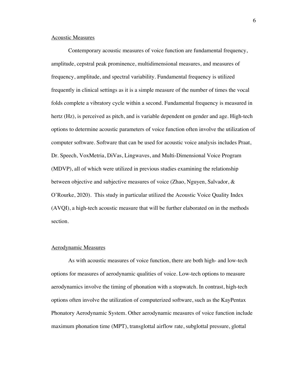# Acoustic Measures

Contemporary acoustic measures of voice function are fundamental frequency, amplitude, cepstral peak prominence, multidimensional measures, and measures of frequency, amplitude, and spectral variability. Fundamental frequency is utilized frequently in clinical settings as it is a simple measure of the number of times the vocal folds complete a vibratory cycle within a second. Fundamental frequency is measured in hertz (Hz), is perceived as pitch, and is variable dependent on gender and age. High-tech options to determine acoustic parameters of voice function often involve the utilization of computer software. Software that can be used for acoustic voice analysis includes Praat, Dr. Speech, VoxMetria, DiVas, Lingwaves, and Multi-Dimensional Voice Program (MDVP), all of which were utilized in previous studies examining the relationship between objective and subjective measures of voice (Zhao, Nguyen, Salvador, & O'Rourke, 2020). This study in particular utilized the Acoustic Voice Quality Index (AVQI), a high-tech acoustic measure that will be further elaborated on in the methods section.

#### Aerodynamic Measures

As with acoustic measures of voice function, there are both high- and low-tech options for measures of aerodynamic qualities of voice. Low-tech options to measure aerodynamics involve the timing of phonation with a stopwatch. In contrast, high-tech options often involve the utilization of computerized software, such as the KayPentax Phonatory Aerodynamic System. Other aerodynamic measures of voice function include maximum phonation time (MPT), transglottal airflow rate, subglottal pressure, glottal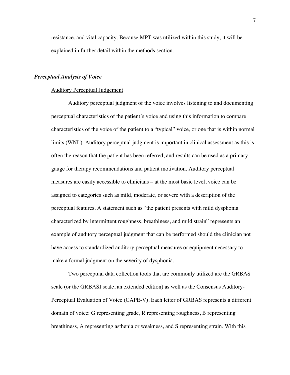resistance, and vital capacity. Because MPT was utilized within this study, it will be explained in further detail within the methods section.

# *Perceptual Analysis of Voice*

#### Auditory Perceptual Judgement

Auditory perceptual judgment of the voice involves listening to and documenting perceptual characteristics of the patient's voice and using this information to compare characteristics of the voice of the patient to a "typical" voice, or one that is within normal limits (WNL). Auditory perceptual judgment is important in clinical assessment as this is often the reason that the patient has been referred, and results can be used as a primary gauge for therapy recommendations and patient motivation. Auditory perceptual measures are easily accessible to clinicians – at the most basic level, voice can be assigned to categories such as mild, moderate, or severe with a description of the perceptual features. A statement such as "the patient presents with mild dysphonia characterized by intermittent roughness, breathiness, and mild strain" represents an example of auditory perceptual judgment that can be performed should the clinician not have access to standardized auditory perceptual measures or equipment necessary to make a formal judgment on the severity of dysphonia.

Two perceptual data collection tools that are commonly utilized are the GRBAS scale (or the GRBASI scale, an extended edition) as well as the Consensus Auditory-Perceptual Evaluation of Voice (CAPE-V). Each letter of GRBAS represents a different domain of voice: G representing grade, R representing roughness, B representing breathiness, A representing asthenia or weakness, and S representing strain. With this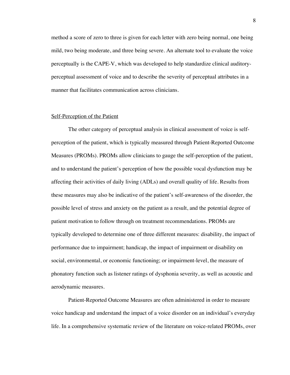method a score of zero to three is given for each letter with zero being normal, one being mild, two being moderate, and three being severe. An alternate tool to evaluate the voice perceptually is the CAPE-V, which was developed to help standardize clinical auditoryperceptual assessment of voice and to describe the severity of perceptual attributes in a manner that facilitates communication across clinicians.

#### Self-Perception of the Patient

The other category of perceptual analysis in clinical assessment of voice is selfperception of the patient, which is typically measured through Patient-Reported Outcome Measures (PROMs). PROMs allow clinicians to gauge the self-perception of the patient, and to understand the patient's perception of how the possible vocal dysfunction may be affecting their activities of daily living (ADLs) and overall quality of life. Results from these measures may also be indicative of the patient's self-awareness of the disorder, the possible level of stress and anxiety on the patient as a result, and the potential degree of patient motivation to follow through on treatment recommendations. PROMs are typically developed to determine one of three different measures: disability, the impact of performance due to impairment; handicap, the impact of impairment or disability on social, environmental, or economic functioning; or impairment-level, the measure of phonatory function such as listener ratings of dysphonia severity, as well as acoustic and aerodynamic measures.

Patient-Reported Outcome Measures are often administered in order to measure voice handicap and understand the impact of a voice disorder on an individual's everyday life. In a comprehensive systematic review of the literature on voice-related PROMs, over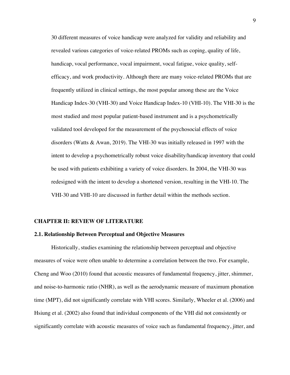30 different measures of voice handicap were analyzed for validity and reliability and revealed various categories of voice-related PROMs such as coping, quality of life, handicap, vocal performance, vocal impairment, vocal fatigue, voice quality, selfefficacy, and work productivity. Although there are many voice-related PROMs that are frequently utilized in clinical settings, the most popular among these are the Voice Handicap Index-30 (VHI-30) and Voice Handicap Index-10 (VHI-10). The VHI-30 is the most studied and most popular patient-based instrument and is a psychometrically validated tool developed for the measurement of the psychosocial effects of voice disorders (Watts & Awan, 2019). The VHI-30 was initially released in 1997 with the intent to develop a psychometrically robust voice disability/handicap inventory that could be used with patients exhibiting a variety of voice disorders. In 2004, the VHI-30 was redesigned with the intent to develop a shortened version, resulting in the VHI-10. The VHI-30 and VHI-10 are discussed in further detail within the methods section.

#### **CHAPTER II: REVIEW OF LITERATURE**

#### **2.1. Relationship Between Perceptual and Objective Measures**

Historically, studies examining the relationship between perceptual and objective measures of voice were often unable to determine a correlation between the two. For example, Cheng and Woo (2010) found that acoustic measures of fundamental frequency, jitter, shimmer, and noise-to-harmonic ratio (NHR), as well as the aerodynamic measure of maximum phonation time (MPT), did not significantly correlate with VHI scores. Similarly, Wheeler et al. (2006) and Hsiung et al. (2002) also found that individual components of the VHI did not consistently or significantly correlate with acoustic measures of voice such as fundamental frequency, jitter, and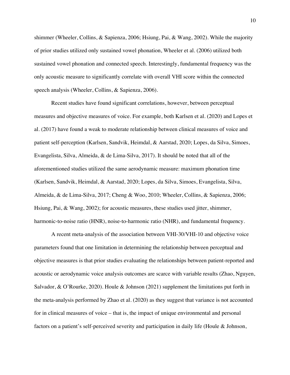shimmer (Wheeler, Collins, & Sapienza, 2006; Hsiung, Pai, & Wang, 2002). While the majority of prior studies utilized only sustained vowel phonation, Wheeler et al. (2006) utilized both sustained vowel phonation and connected speech. Interestingly, fundamental frequency was the only acoustic measure to significantly correlate with overall VHI score within the connected speech analysis (Wheeler, Collins, & Sapienza, 2006).

Recent studies have found significant correlations, however, between perceptual measures and objective measures of voice. For example, both Karlsen et al. (2020) and Lopes et al. (2017) have found a weak to moderate relationship between clinical measures of voice and patient self-perception (Karlsen, Sandvik, Heimdal, & Aarstad, 2020; Lopes, da Silva, Simoes, Evangelista, Silva, Almeida, & de Lima-Silva, 2017). It should be noted that all of the aforementioned studies utilized the same aerodynamic measure: maximum phonation time (Karlsen, Sandvik, Heimdal, & Aarstad, 2020; Lopes, da Silva, Simoes, Evangelista, Silva, Almeida, & de Lima-Silva, 2017; Cheng & Woo, 2010; Wheeler, Collins, & Sapienza, 2006; Hsiung, Pai, & Wang, 2002); for acoustic measures, these studies used jitter, shimmer, harmonic-to-noise ratio (HNR), noise-to-harmonic ratio (NHR), and fundamental frequency.

A recent meta-analysis of the association between VHI-30/VHI-10 and objective voice parameters found that one limitation in determining the relationship between perceptual and objective measures is that prior studies evaluating the relationships between patient-reported and acoustic or aerodynamic voice analysis outcomes are scarce with variable results (Zhao, Nguyen, Salvador, & O'Rourke, 2020). Houle & Johnson (2021) supplement the limitations put forth in the meta-analysis performed by Zhao et al. (2020) as they suggest that variance is not accounted for in clinical measures of voice – that is, the impact of unique environmental and personal factors on a patient's self-perceived severity and participation in daily life (Houle & Johnson,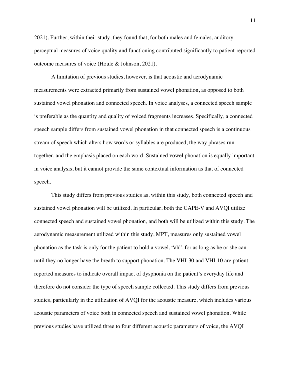2021). Further, within their study, they found that, for both males and females, auditory perceptual measures of voice quality and functioning contributed significantly to patient-reported outcome measures of voice (Houle & Johnson, 2021).

A limitation of previous studies, however, is that acoustic and aerodynamic measurements were extracted primarily from sustained vowel phonation, as opposed to both sustained vowel phonation and connected speech. In voice analyses, a connected speech sample is preferable as the quantity and quality of voiced fragments increases. Specifically, a connected speech sample differs from sustained vowel phonation in that connected speech is a continuous stream of speech which alters how words or syllables are produced, the way phrases run together, and the emphasis placed on each word. Sustained vowel phonation is equally important in voice analysis, but it cannot provide the same contextual information as that of connected speech.

This study differs from previous studies as, within this study, both connected speech and sustained vowel phonation will be utilized. In particular, both the CAPE-V and AVQI utilize connected speech and sustained vowel phonation, and both will be utilized within this study. The aerodynamic measurement utilized within this study, MPT, measures only sustained vowel phonation as the task is only for the patient to hold a vowel, "ah", for as long as he or she can until they no longer have the breath to support phonation. The VHI-30 and VHI-10 are patientreported measures to indicate overall impact of dysphonia on the patient's everyday life and therefore do not consider the type of speech sample collected. This study differs from previous studies, particularly in the utilization of AVQI for the acoustic measure, which includes various acoustic parameters of voice both in connected speech and sustained vowel phonation. While previous studies have utilized three to four different acoustic parameters of voice, the AVQI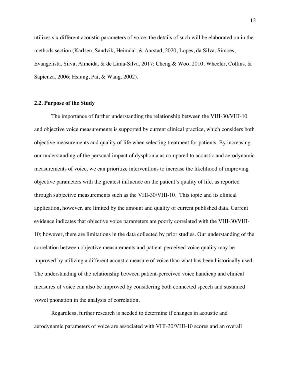utilizes six different acoustic parameters of voice; the details of such will be elaborated on in the methods section (Karlsen, Sandvik, Heimdal, & Aarstad, 2020; Lopes, da Silva, Simoes, Evangelista, Silva, Almeida, & de Lima-Silva, 2017; Cheng & Woo, 2010; Wheeler, Collins, & Sapienza, 2006; Hsiung, Pai, & Wang, 2002).

# **2.2. Purpose of the Study**

The importance of further understanding the relationship between the VHI-30/VHI-10 and objective voice measurements is supported by current clinical practice, which considers both objective measurements and quality of life when selecting treatment for patients. By increasing our understanding of the personal impact of dysphonia as compared to acoustic and aerodynamic measurements of voice, we can prioritize interventions to increase the likelihood of improving objective parameters with the greatest influence on the patient's quality of life, as reported through subjective measurements such as the VHI-30/VHI-10. This topic and its clinical application, however, are limited by the amount and quality of current published data. Current evidence indicates that objective voice parameters are poorly correlated with the VHI-30/VHI-10; however, there are limitations in the data collected by prior studies. Our understanding of the correlation between objective measurements and patient-perceived voice quality may be improved by utilizing a different acoustic measure of voice than what has been historically used. The understanding of the relationship between patient-perceived voice handicap and clinical measures of voice can also be improved by considering both connected speech and sustained vowel phonation in the analysis of correlation.

Regardless, further research is needed to determine if changes in acoustic and aerodynamic parameters of voice are associated with VHI-30/VHI-10 scores and an overall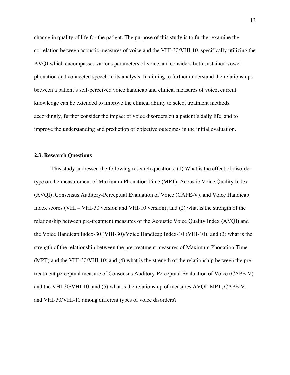change in quality of life for the patient. The purpose of this study is to further examine the correlation between acoustic measures of voice and the VHI-30/VHI-10, specifically utilizing the AVQI which encompasses various parameters of voice and considers both sustained vowel phonation and connected speech in its analysis. In aiming to further understand the relationships between a patient's self-perceived voice handicap and clinical measures of voice, current knowledge can be extended to improve the clinical ability to select treatment methods accordingly, further consider the impact of voice disorders on a patient's daily life, and to improve the understanding and prediction of objective outcomes in the initial evaluation.

#### **2.3. Research Questions**

This study addressed the following research questions: (1) What is the effect of disorder type on the measurement of Maximum Phonation Time (MPT), Acoustic Voice Quality Index (AVQI), Consensus Auditory-Perceptual Evaluation of Voice (CAPE-V), and Voice Handicap Index scores (VHI – VHI-30 version and VHI-10 version); and (2) what is the strength of the relationship between pre-treatment measures of the Acoustic Voice Quality Index (AVQI) and the Voice Handicap Index-30 (VHI-30)/Voice Handicap Index-10 (VHI-10); and (3) what is the strength of the relationship between the pre-treatment measures of Maximum Phonation Time (MPT) and the VHI-30/VHI-10; and (4) what is the strength of the relationship between the pretreatment perceptual measure of Consensus Auditory-Perceptual Evaluation of Voice (CAPE-V) and the VHI-30/VHI-10; and (5) what is the relationship of measures AVQI, MPT, CAPE-V, and VHI-30/VHI-10 among different types of voice disorders?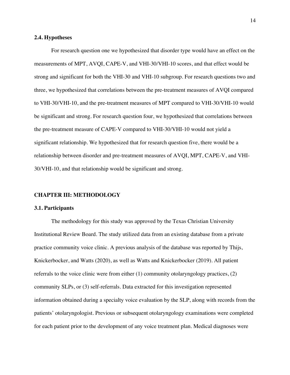#### **2.4. Hypotheses**

For research question one we hypothesized that disorder type would have an effect on the measurements of MPT, AVQI, CAPE-V, and VHI-30/VHI-10 scores, and that effect would be strong and significant for both the VHI-30 and VHI-10 subgroup. For research questions two and three, we hypothesized that correlations between the pre-treatment measures of AVQI compared to VHI-30/VHI-10, and the pre-treatment measures of MPT compared to VHI-30/VHI-10 would be significant and strong. For research question four, we hypothesized that correlations between the pre-treatment measure of CAPE-V compared to VHI-30/VHI-10 would not yield a significant relationship. We hypothesized that for research question five, there would be a relationship between disorder and pre-treatment measures of AVQI, MPT, CAPE-V, and VHI-30/VHI-10, and that relationship would be significant and strong.

# **CHAPTER III: METHODOLOGY**

## **3.1. Participants**

The methodology for this study was approved by the Texas Christian University Institutional Review Board. The study utilized data from an existing database from a private practice community voice clinic. A previous analysis of the database was reported by Thijs, Knickerbocker, and Watts (2020), as well as Watts and Knickerbocker (2019). All patient referrals to the voice clinic were from either  $(1)$  community otolaryngology practices,  $(2)$ community SLPs, or (3) self-referrals. Data extracted for this investigation represented information obtained during a specialty voice evaluation by the SLP, along with records from the patients' otolaryngologist. Previous or subsequent otolaryngology examinations were completed for each patient prior to the development of any voice treatment plan. Medical diagnoses were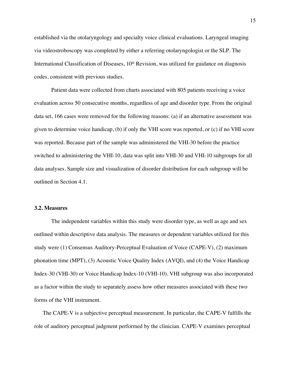established via the otolaryngology and specialty voice clinical evaluations. Laryngeal imaging via videostroboscopy was completed by either a referring otolaryngologist or the SLP. The International Classification of Diseases,  $10<sup>th</sup>$  Revision, was utilized for guidance on diagnosis codes, consistent with previous studies.

Patient data were collected from charts associated with 805 patients receiving a voice evaluation across 50 consecutive months, regardless of age and disorder type. From the original data set, 166 cases were removed for the following reasons: (a) if an alternative assessment was given to determine voice handicap, (b) if only the VHI score was reported, or (c) if no VHI score was reported. Because part of the sample was administered the VHI-30 before the practice switched to administering the VHI-10, data was split into VHI-30 and VHI-10 subgroups for all data analyses. Sample size and visualization of disorder distribution for each subgroup will be outlined in Section 4.1.

## **3.2. Measures**

The independent variables within this study were disorder type, as well as age and sex outlined within descriptive data analysis. The measures or dependent variables utilized for this study were (1) Consensus Auditory-Perceptual Evaluation of Voice (CAPE-V), (2) maximum phonation time (MPT), (3) Acoustic Voice Quality Index (AVQI), and (4) the Voice Handicap Index-30 (VHI-30) or Voice Handicap Index-10 (VHI-10). VHI subgroup was also incorporated as a factor within the study to separately assess how other measures associated with these two forms of the VHI instrument.

The CAPE-V is a subjective perceptual measurement. In particular, the CAPE-V fulfills the role of auditory perceptual judgment performed by the clinician. CAPE-V examines perceptual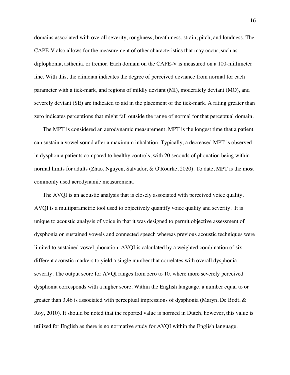domains associated with overall severity, roughness, breathiness, strain, pitch, and loudness. The CAPE-V also allows for the measurement of other characteristics that may occur, such as diplophonia, asthenia, or tremor. Each domain on the CAPE-V is measured on a 100-millimeter line. With this, the clinician indicates the degree of perceived deviance from normal for each parameter with a tick-mark, and regions of mildly deviant (MI), moderately deviant (MO), and severely deviant (SE) are indicated to aid in the placement of the tick-mark. A rating greater than zero indicates perceptions that might fall outside the range of normal for that perceptual domain.

The MPT is considered an aerodynamic measurement. MPT is the longest time that a patient can sustain a vowel sound after a maximum inhalation. Typically, a decreased MPT is observed in dysphonia patients compared to healthy controls, with 20 seconds of phonation being within normal limits for adults (Zhao, Nguyen, Salvador, & O'Rourke, 2020). To date, MPT is the most commonly used aerodynamic measurement.

The AVQI is an acoustic analysis that is closely associated with perceived voice quality. AVQI is a multiparametric tool used to objectively quantify voice quality and severity. It is unique to acoustic analysis of voice in that it was designed to permit objective assessment of dysphonia on sustained vowels and connected speech whereas previous acoustic techniques were limited to sustained vowel phonation. AVQI is calculated by a weighted combination of six different acoustic markers to yield a single number that correlates with overall dysphonia severity. The output score for AVQI ranges from zero to 10, where more severely perceived dysphonia corresponds with a higher score. Within the English language, a number equal to or greater than 3.46 is associated with perceptual impressions of dysphonia (Maryn, De Bodt, & Roy, 2010). It should be noted that the reported value is normed in Dutch, however, this value is utilized for English as there is no normative study for AVQI within the English language.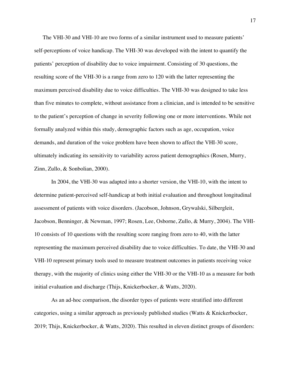The VHI-30 and VHI-10 are two forms of a similar instrument used to measure patients' self-perceptions of voice handicap. The VHI-30 was developed with the intent to quantify the patients' perception of disability due to voice impairment. Consisting of 30 questions, the resulting score of the VHI-30 is a range from zero to 120 with the latter representing the maximum perceived disability due to voice difficulties. The VHI-30 was designed to take less than five minutes to complete, without assistance from a clinician, and is intended to be sensitive to the patient's perception of change in severity following one or more interventions. While not formally analyzed within this study, demographic factors such as age, occupation, voice demands, and duration of the voice problem have been shown to affect the VHI-30 score, ultimately indicating its sensitivity to variability across patient demographics (Rosen, Murry, Zinn, Zullo, & Sonbolian, 2000).

In 2004, the VHI-30 was adapted into a shorter version, the VHI-10, with the intent to determine patient-perceived self-handicap at both initial evaluation and throughout longitudinal assessment of patients with voice disorders. (Jacobson, Johnson, Grywalski, Silbergleit, Jacobson, Benninger, & Newman, 1997; Rosen, Lee, Osborne, Zullo, & Murry, 2004). The VHI-10 consists of 10 questions with the resulting score ranging from zero to 40, with the latter representing the maximum perceived disability due to voice difficulties. To date, the VHI-30 and VHI-10 represent primary tools used to measure treatment outcomes in patients receiving voice therapy, with the majority of clinics using either the VHI-30 or the VHI-10 as a measure for both initial evaluation and discharge (Thijs, Knickerbocker, & Watts, 2020).

As an ad-hoc comparison, the disorder types of patients were stratified into different categories, using a similar approach as previously published studies (Watts  $\&$  Knickerbocker, 2019; Thijs, Knickerbocker, & Watts, 2020). This resulted in eleven distinct groups of disorders: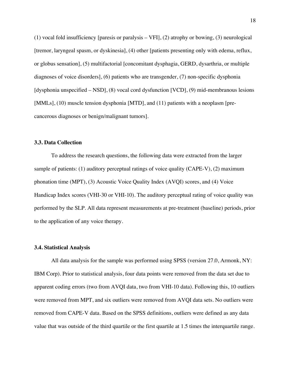(1) vocal fold insufficiency [paresis or paralysis – VFI], (2) atrophy or bowing, (3) neurological [tremor, laryngeal spasm, or dyskinesia], (4) other [patients presenting only with edema, reflux, or globus sensation], (5) multifactorial [concomitant dysphagia, GERD, dysarthria, or multiple diagnoses of voice disorders], (6) patients who are transgender, (7) non-specific dysphonia [dysphonia unspecified – NSD], (8) vocal cord dysfunction [VCD], (9) mid-membranous lesions [MMLs], (10) muscle tension dysphonia [MTD], and (11) patients with a neoplasm [precancerous diagnoses or benign/malignant tumors].

## **3.3. Data Collection**

To address the research questions, the following data were extracted from the larger sample of patients: (1) auditory perceptual ratings of voice quality (CAPE-V), (2) maximum phonation time (MPT), (3) Acoustic Voice Quality Index (AVQI) scores, and (4) Voice Handicap Index scores (VHI-30 or VHI-10). The auditory perceptual rating of voice quality was performed by the SLP. All data represent measurements at pre-treatment (baseline) periods, prior to the application of any voice therapy.

## **3.4. Statistical Analysis**

All data analysis for the sample was performed using SPSS (version 27.0, Armonk, NY: IBM Corp). Prior to statistical analysis, four data points were removed from the data set due to apparent coding errors (two from AVQI data, two from VHI-10 data). Following this, 10 outliers were removed from MPT, and six outliers were removed from AVQI data sets. No outliers were removed from CAPE-V data. Based on the SPSS definitions, outliers were defined as any data value that was outside of the third quartile or the first quartile at 1.5 times the interquartile range.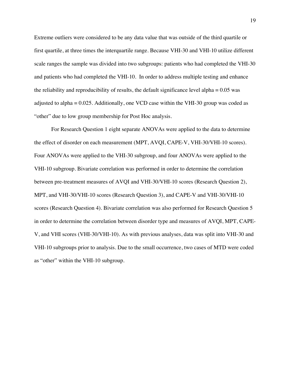Extreme outliers were considered to be any data value that was outside of the third quartile or first quartile, at three times the interquartile range. Because VHI-30 and VHI-10 utilize different scale ranges the sample was divided into two subgroups: patients who had completed the VHI-30 and patients who had completed the VHI-10. In order to address multiple testing and enhance the reliability and reproducibility of results, the default significance level alpha  $= 0.05$  was adjusted to alpha = 0.025. Additionally, one VCD case within the VHI-30 group was coded as "other" due to low group membership for Post Hoc analysis.

For Research Question 1 eight separate ANOVAs were applied to the data to determine the effect of disorder on each measurement (MPT, AVQI, CAPE-V, VHI-30/VHI-10 scores). Four ANOVAs were applied to the VHI-30 subgroup, and four ANOVAs were applied to the VHI-10 subgroup. Bivariate correlation was performed in order to determine the correlation between pre-treatment measures of AVQI and VHI-30/VHI-10 scores (Research Question 2), MPT, and VHI-30/VHI-10 scores (Research Question 3), and CAPE-V and VHI-30/VHI-10 scores (Research Question 4). Bivariate correlation was also performed for Research Question 5 in order to determine the correlation between disorder type and measures of AVQI, MPT, CAPE-V, and VHI scores (VHI-30/VHI-10). As with previous analyses, data was split into VHI-30 and VHI-10 subgroups prior to analysis. Due to the small occurrence, two cases of MTD were coded as "other" within the VHI-10 subgroup.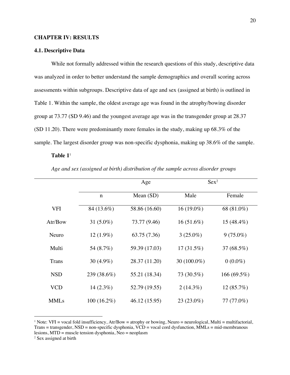#### **CHAPTER IV: RESULTS**

### **4.1. Descriptive Data**

While not formally addressed within the research questions of this study, descriptive data was analyzed in order to better understand the sample demographics and overall scoring across assessments within subgroups. Descriptive data of age and sex (assigned at birth) is outlined in Table 1. Within the sample, the oldest average age was found in the atrophy/bowing disorder group at 73.77 (SD 9.46) and the youngest average age was in the transgender group at 28.37 (SD 11.20). There were predominantly more females in the study, making up 68.3% of the sample. The largest disorder group was non-specific dysphonia, making up 38.6% of the sample.

#### **Table 1**<sup>1</sup>

|              |               | Age           | Sex <sup>2</sup> |                |
|--------------|---------------|---------------|------------------|----------------|
|              | $\mathbf n$   | Mean $(SD)$   | Male             | Female         |
| VFI          | 84 (13.6%)    | 58.86 (16.60) | $16(19.0\%)$     | 68 (81.0%)     |
| Atr/Bow      | 31 $(5.0\%)$  | 73.77 (9.46)  | $16(51.6\%)$     | 15 $(48.4\%)$  |
| Neuro        | $12(1.9\%)$   | 63.75 (7.36)  | $3(25.0\%)$      | $9(75.0\%)$    |
| Multi        | 54 (8.7%)     | 59.39 (17.03) | $17(31.5\%)$     | 37 (68.5%)     |
| <b>Trans</b> | 30 $(4.9\%)$  | 28.37 (11.20) | 30 $(100.0\%)$   | $0(0.0\%)$     |
| <b>NSD</b>   | 239 (38.6%)   | 55.21 (18.34) | 73 (30.5%)       | 166 $(69.5\%)$ |
| <b>VCD</b>   | $14(2.3\%)$   | 52.79 (19.55) | $2(14.3\%)$      | 12(85.7%)      |
| <b>MMLs</b>  | $100(16.2\%)$ | 46.12 (15.95) | $23(23.0\%)$     | 77 (77.0%)     |

*Age and sex (assigned at birth) distribution of the sample across disorder groups*

<sup>&</sup>lt;sup>1</sup> Note: VFI = vocal fold insufficiency, Atr/Bow = atrophy or bowing, Neuro = neurological, Multi = multifactorial, Trans = transgender, NSD = non-specific dysphonia, VCD = vocal cord dysfunction, MMLs = mid-membranous lesions, MTD = muscle tension dysphonia, Neo = neoplasm

<sup>2</sup> Sex assigned at birth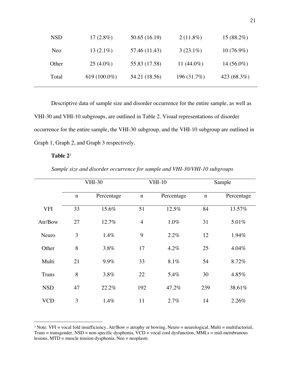| <b>NSD</b> | $17(2.8\%)$     | 50.65 (16.19) | $2(11.8\%)$   | $15(88.2\%)$ |
|------------|-----------------|---------------|---------------|--------------|
| Neo.       | $13(2.1\%)$     | 57.46 (11.43) | $3(23.1\%)$   | $10(76.9\%)$ |
| Other      | $25(4.0\%)$     | 55.83 (17.58) | 11 $(44.0\%)$ | $14(56.0\%)$ |
| Total      | 619 $(100.0\%)$ | 54.21 (18.56) | 196 (31.7%)   | 423 (68.3%)  |
|            |                 |               |               |              |

Descriptive data of sample size and disorder occurrence for the entire sample, as well as VHI-30 and VHI-10 subgroups, are outlined in Table 2. Visual representations of disorder occurrence for the entire sample, the VHI-30 subgroup, and the VHI-10 subgroup are outlined in Graph 1, Graph 2, and Graph 3 respectively.

## **Table 2**<sup>3</sup>

|              | <b>VHI-30</b> |            |                | <b>VHI-10</b> |             | Sample     |  |
|--------------|---------------|------------|----------------|---------------|-------------|------------|--|
|              | $\mathbf n$   | Percentage | $\mathbf n$    | Percentage    | $\mathbf n$ | Percentage |  |
| <b>VFI</b>   | 33            | 15.6%      | 51             | 12.5%         | 84          | 13.57%     |  |
| Atr/Bow      | 27            | 12.7%      | $\overline{4}$ | 1.0%          | 31          | 5.01%      |  |
| Neuro        | 3             | 1.4%       | 9              | 2.2%          | 12          | 1.94%      |  |
| Other        | 8             | 3.8%       | 17             | $4.2\%$       | 25          | 4.04%      |  |
| Multi        | 21            | 9.9%       | 33             | 8.1%          | 54          | 8.72%      |  |
| <b>Trans</b> | 8             | 3.8%       | 22             | 5.4%          | 30          | 4.85%      |  |
| <b>NSD</b>   | 47            | 22.2%      | 192            | 47.2%         | 239         | 38.61%     |  |
| <b>VCD</b>   | 3             | 1.4%       | 11             | 2.7%          | 14          | 2.26%      |  |

<sup>&</sup>lt;sup>3</sup> Note: VFI = vocal fold insufficiency, Atr/Bow = atrophy or bowing, Neuro = neurological, Multi = multifactorial, Trans = transgender, NSD = non-specific dysphonia, VCD = vocal cord dysfunction, MMLs = mid-membranous lesions, MTD = muscle tension dysphonia, Neo = neoplasm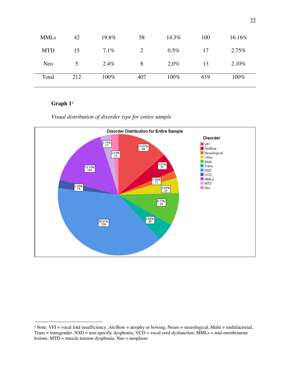| <b>MMLs</b> | 42  | 19.8% | 58  | 14.3%   | 100 | 16.16% |
|-------------|-----|-------|-----|---------|-----|--------|
| <b>MTD</b>  | 15  | 7.1%  | 2   | $0.5\%$ | 17  | 2.75%  |
| Neo         | 5   | 2.4%  | 8   | 2.0%    | 13  | 2.10%  |
| Total       | 212 | 100%  | 407 | 100%    | 619 | 100%   |

# *Visual distribution of disorder type for entire sample*



<sup>4</sup> Note: VFI = vocal fold insufficiency, Atr/Bow = atrophy or bowing, Neuro = neurological, Multi = multifactorial, Trans = transgender, NSD = non-specific dysphonia, VCD = vocal cord dysfunction, MMLs = mid-membranous lesions, MTD = muscle tension dysphonia, Neo = neoplasm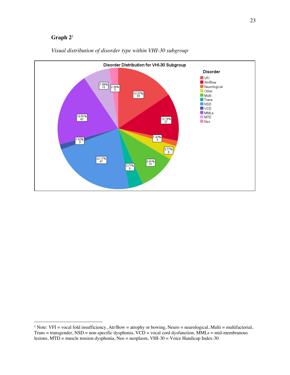

# *Visual distribution of disorder type within VHI-30 subgroup*

 $5$  Note: VFI = vocal fold insufficiency, Atr/Bow = atrophy or bowing, Neuro = neurological, Multi = multifactorial, Trans = transgender, NSD = non-specific dysphonia, VCD = vocal cord dysfunction, MMLs = mid-membranous lesions, MTD = muscle tension dysphonia, Neo = neoplasm, VHI-30 = Voice Handicap Index-30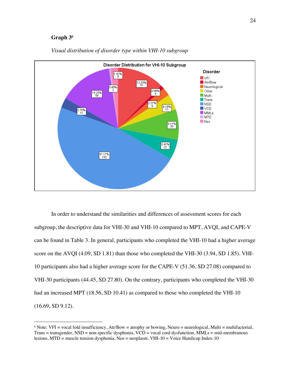

### *Visual distribution of disorder type within VHI-10 subgroup*

In order to understand the similarities and differences of assessment scores for each subgroup, the descriptive data for VHI-30 and VHI-10 compared to MPT, AVQI, and CAPE-V can be found in Table 3. In general, participants who completed the VHI-10 had a higher average score on the AVQI (4.09, SD 1.81) than those who completed the VHI-30 (3.94, SD 1.85). VHI-10 participants also had a higher average score for the CAPE-V (51.36, SD 27.08) compared to VHI-30 participants (44.45, SD 27.80). On the contrary, participants who completed the VHI-30 had an increased MPT (18.56, SD 10.41) as compared to those who completed the VHI-10 (16.69, SD 9.12).

 $6$  Note: VFI = vocal fold insufficiency, Atr/Bow = atrophy or bowing, Neuro = neurological, Multi = multifactorial, Trans = transgender, NSD = non-specific dysphonia, VCD = vocal cord dysfunction, MMLs = mid-membranous lesions, MTD = muscle tension dysphonia, Neo = neoplasm, VHI-10 = Voice Handicap Index-10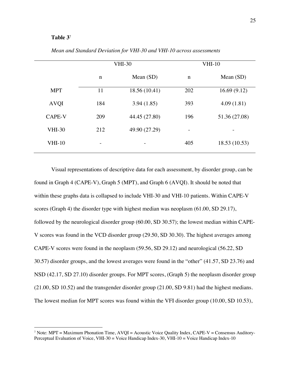# **Table 3**<sup>7</sup>

|               | <b>VHI-30</b>                |                   |                          | <b>VHI-10</b> |
|---------------|------------------------------|-------------------|--------------------------|---------------|
|               | $\mathbf n$                  | Mean $(SD)$       | $\mathbf n$              | Mean $(SD)$   |
| <b>MPT</b>    | 11                           | 18.56 (10.41)     | 202                      | 16.69(9.12)   |
| <b>AVQI</b>   | 184                          | 3.94(1.85)        | 393                      | 4.09(1.81)    |
| <b>CAPE-V</b> | 209                          | 44.45 (27.80)     | 196                      | 51.36 (27.08) |
| <b>VHI-30</b> | 212                          | 49.90 (27.29)     | $\overline{\phantom{m}}$ |               |
| $VHI-10$      | $\qquad \qquad \blacksquare$ | $\qquad \qquad =$ | 405                      | 18.53(10.53)  |

*Mean and Standard Deviation for VHI-30 and VHI-10 across assessments* 

Visual representations of descriptive data for each assessment, by disorder group, can be found in Graph 4 (CAPE-V), Graph 5 (MPT), and Graph 6 (AVQI). It should be noted that within these graphs data is collapsed to include VHI-30 and VHI-10 patients. Within CAPE-V scores (Graph 4) the disorder type with highest median was neoplasm (61.00, SD 29.17), followed by the neurological disorder group (60.00, SD 30.57); the lowest median within CAPE-V scores was found in the VCD disorder group (29.50, SD 30.30). The highest averages among CAPE-V scores were found in the neoplasm (59.56, SD 29.12) and neurological (56.22, SD 30.57) disorder groups, and the lowest averages were found in the "other" (41.57, SD 23.76) and NSD (42.17, SD 27.10) disorder groups. For MPT scores, (Graph 5) the neoplasm disorder group (21.00, SD 10.52) and the transgender disorder group (21.00, SD 9.81) had the highest medians. The lowest median for MPT scores was found within the VFI disorder group (10.00, SD 10.53),

<sup>&</sup>lt;sup>7</sup> Note: MPT = Maximum Phonation Time,  $AVQI = Acoustic \nVoice \nQuality Index, CAPE-V = Consensus \nAnditory-$ Perceptual Evaluation of Voice, VHI-30 = Voice Handicap Index-30, VHI-10 = Voice Handicap Index-10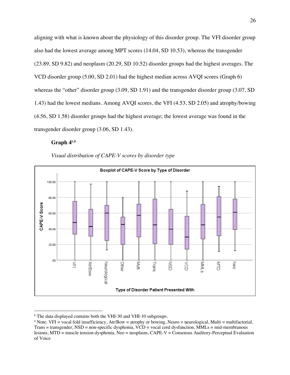aligning with what is known about the physiology of this disorder group. The VFI disorder group also had the lowest average among MPT scores (14.04, SD 10.53), whereas the transgender (23.89, SD 9.82) and neoplasm (20.29, SD 10.52) disorder groups had the highest averages. The VCD disorder group (5.00, SD 2.01) had the highest median across AVQI scores (Graph 6) whereas the "other" disorder group (3.09, SD 1.91) and the transgender disorder group (3.07, SD 1.43) had the lowest medians. Among AVQI scores, the VFI (4.53, SD 2.05) and atrophy/bowing (4.56, SD 1.58) disorder groups had the highest average; the lowest average was found in the transgender disorder group (3.06, SD 1.43).

## **Graph 4**8**,9**

*Visual distribution of CAPE-V scores by disorder type*



<sup>8</sup> The data displayed contains both the VHI-30 and VHI-10 subgroups.

<sup>&</sup>lt;sup>9</sup> Note: VFI = vocal fold insufficiency, Atr/Bow = atrophy or bowing, Neuro = neurological, Multi = multifactorial, Trans = transgender, NSD = non-specific dysphonia, VCD = vocal cord dysfunction, MMLs = mid-membranous lesions, MTD = muscle tension dysphonia, Neo = neoplasm, CAPE-V = Consensus Auditory-Perceptual Evaluation of Voice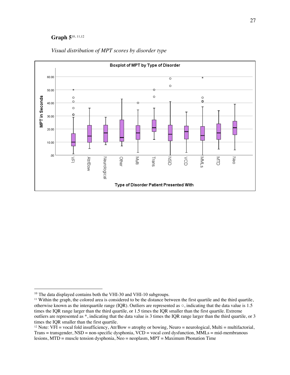# **Graph 5**10, 11,12



# *Visual distribution of MPT scores by disorder type*

<sup>&</sup>lt;sup>10</sup> The data displayed contains both the VHI-30 and VHI-10 subgroups.

<sup>&</sup>lt;sup>11</sup> Within the graph, the colored area is considered to be the distance between the first quartile and the third quartile, otherwise known as the interquartile range (IQR). Outliers are represented as ○, indicating that the data value is 1.5 times the IQR range larger than the third quartile, or 1.5 times the IQR smaller than the first quartile. Extreme outliers are represented as \*, indicating that the data value is 3 times the IQR range larger than the third quartile, or 3 times the IQR smaller than the first quartile.

<sup>&</sup>lt;sup>12</sup> Note: VFI = vocal fold insufficiency,  $Art/Row =$  atrophy or bowing, Neuro = neurological, Multi = multifactorial, Trans = transgender, NSD = non-specific dysphonia, VCD = vocal cord dysfunction, MMLs = mid-membranous lesions, MTD = muscle tension dysphonia, Neo = neoplasm, MPT = Maximum Phonation Time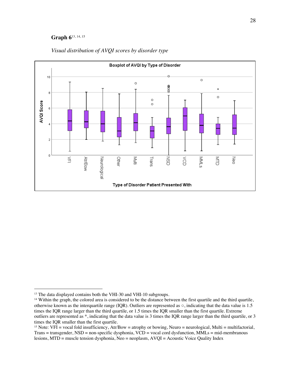# **Graph 6**13, 14, 15



# *Visual distribution of AVQI scores by disorder type*

<sup>&</sup>lt;sup>13</sup> The data displayed contains both the VHI-30 and VHI-10 subgroups.

<sup>&</sup>lt;sup>14</sup> Within the graph, the colored area is considered to be the distance between the first quartile and the third quartile, otherwise known as the interquartile range (IQR). Outliers are represented as  $\circ$ , indicating that the data value is 1.5 times the IQR range larger than the third quartile, or 1.5 times the IQR smaller than the first quartile. Extreme outliers are represented as \*, indicating that the data value is 3 times the IQR range larger than the third quartile, or 3 times the IQR smaller than the first quartile.

<sup>&</sup>lt;sup>15</sup> Note: VFI = vocal fold insufficiency, Atr/Bow = atrophy or bowing, Neuro = neurological, Multi = multifactorial, Trans = transgender, NSD = non-specific dysphonia, VCD = vocal cord dysfunction, MMLs = mid-membranous lesions, MTD = muscle tension dysphonia, Neo = neoplasm, AVQI = Acoustic Voice Quality Index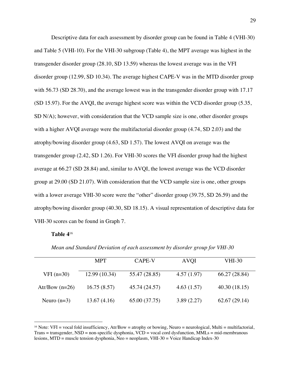Descriptive data for each assessment by disorder group can be found in Table 4 (VHI-30) and Table 5 (VHI-10). For the VHI-30 subgroup (Table 4), the MPT average was highest in the transgender disorder group (28.10, SD 13.59) whereas the lowest average was in the VFI disorder group (12.99, SD 10.34). The average highest CAPE-V was in the MTD disorder group with 56.73 (SD 28.70), and the average lowest was in the transgender disorder group with 17.17 (SD 15.97). For the AVQI, the average highest score was within the VCD disorder group (5.35, SD N/A); however, with consideration that the VCD sample size is one, other disorder groups with a higher AVQI average were the multifactorial disorder group (4.74, SD 2.03) and the atrophy/bowing disorder group (4.63, SD 1.57). The lowest AVQI on average was the transgender group (2.42, SD 1.26). For VHI-30 scores the VFI disorder group had the highest average at 66.27 (SD 28.84) and, similar to AVQI, the lowest average was the VCD disorder group at 29.00 (SD 21.07). With consideration that the VCD sample size is one, other groups with a lower average VHI-30 score were the "other" disorder group (39.75, SD 26.59) and the atrophy/bowing disorder group (40.30, SD 18.15). A visual representation of descriptive data for VHI-30 scores can be found in Graph 7.

# **Table 4**<sup>16</sup>

|                  | <b>MPT</b>    | CAPE-V        | <b>AVQI</b> | VHI-30        |
|------------------|---------------|---------------|-------------|---------------|
| $VFI(n=30)$      | 12.99 (10.34) | 55.47 (28.85) | 4.57(1.97)  | 66.27 (28.84) |
| Atr/Bow $(n=26)$ | 16.75(8.57)   | 45.74 (24.57) | 4.63(1.57)  | 40.30(18.15)  |
| Neuro $(n=3)$    | 13.67(4.16)   | 65.00 (37.75) | 3.89(2.27)  | 62.67(29.14)  |

*Mean and Standard Deviation of each assessment by disorder group for VHI-30*

<sup>&</sup>lt;sup>16</sup> Note: VFI = vocal fold insufficiency,  $Art/Row =$  atrophy or bowing, Neuro = neurological, Multi = multifactorial, Trans = transgender, NSD = non-specific dysphonia, VCD = vocal cord dysfunction, MMLs = mid-membranous lesions, MTD = muscle tension dysphonia, Neo = neoplasm, VHI-30 = Voice Handicap Index-30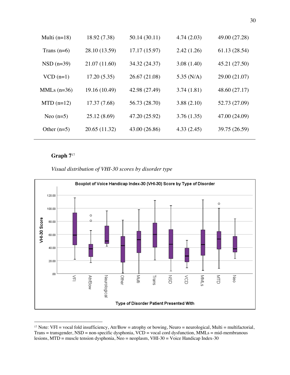| Multi $(n=18)$ | 18.92 (7.38)  | 50.14 (30.11) | 4.74(2.03)   | 49.00 (27.28) |
|----------------|---------------|---------------|--------------|---------------|
| Trans $(n=6)$  | 28.10 (13.59) | 17.17 (15.97) | 2.42(1.26)   | 61.13 (28.54) |
| $NSD(n=39)$    | 21.07 (11.60) | 34.32 (24.37) | 3.08(1.40)   | 45.21 (27.50) |
| $VCD$ (n=1)    | 17.20(5.35)   | 26.67 (21.08) | 5.35 $(N/A)$ | 29.00 (21.07) |
| MMLs $(n=36)$  | 19.16 (10.49) | 42.98 (27.49) | 3.74(1.81)   | 48.60 (27.17) |
| $MTD (n=12)$   | 17.37(7.68)   | 56.73 (28.70) | 3.88(2.10)   | 52.73 (27.09) |
| Neo $(n=5)$    | 25.12(8.69)   | 47.20 (25.92) | 3.76(1.35)   | 47.00 (24.09) |
| Other $(n=5)$  | 20.65 (11.32) | 43.00 (26.86) | 4.33(2.45)   | 39.75 (26.59) |
|                |               |               |              |               |

## *Visual distribution of VHI-30 scores by disorder type*



<sup>&</sup>lt;sup>17</sup> Note: VFI = vocal fold insufficiency, Atr/Bow = atrophy or bowing, Neuro = neurological, Multi = multifactorial, Trans = transgender, NSD = non-specific dysphonia, VCD = vocal cord dysfunction, MMLs = mid-membranous lesions, MTD = muscle tension dysphonia, Neo = neoplasm, VHI-30 = Voice Handicap Index-30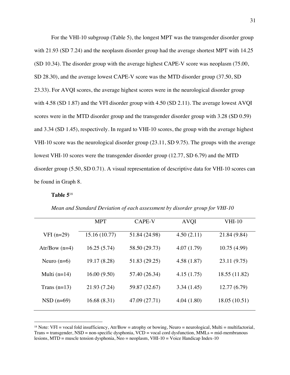For the VHI-10 subgroup (Table 5), the longest MPT was the transgender disorder group with 21.93 (SD 7.24) and the neoplasm disorder group had the average shortest MPT with 14.25 (SD 10.34). The disorder group with the average highest CAPE-V score was neoplasm (75.00, SD 28.30), and the average lowest CAPE-V score was the MTD disorder group (37.50, SD 23.33). For AVQI scores, the average highest scores were in the neurological disorder group with 4.58 (SD 1.87) and the VFI disorder group with 4.50 (SD 2.11). The average lowest AVQI scores were in the MTD disorder group and the transgender disorder group with 3.28 (SD 0.59) and 3.34 (SD 1.45), respectively. In regard to VHI-10 scores, the group with the average highest VHI-10 score was the neurological disorder group (23.11, SD 9.75). The groups with the average lowest VHI-10 scores were the transgender disorder group (12.77, SD 6.79) and the MTD disorder group (5.50, SD 0.71). A visual representation of descriptive data for VHI-10 scores can be found in Graph 8.

#### **Table 5**<sup>18</sup>

|                 | <b>MPT</b>    | CAPE-V        | <b>AVQI</b> | <b>VHI-10</b> |
|-----------------|---------------|---------------|-------------|---------------|
| $VFI(n=29)$     | 15.16 (10.77) | 51.84 (24.98) | 4.50(2.11)  | 21.84 (9.84)  |
| Atr/Bow $(n=4)$ | 16.25(5.74)   | 58.50 (29.73) | 4.07(1.79)  | 10.75(4.99)   |
| Neuro $(n=6)$   | 19.17 (8.28)  | 51.83 (29.25) | 4.58(1.87)  | 23.11 (9.75)  |
| Multi $(n=14)$  | 16.00(9.50)   | 57.40 (26.34) | 4.15(1.75)  | 18.55 (11.82) |
| Trans $(n=13)$  | 21.93 (7.24)  | 59.87 (32.67) | 3.34(1.45)  | 12.77(6.79)   |
| $NSD$ (n=69)    | 16.68(8.31)   | 47.09 (27.71) | 4.04(1.80)  | 18.05(10.51)  |

*Mean and Standard Deviation of each assessment by disorder group for VHI-10*

<sup>&</sup>lt;sup>18</sup> Note: VFI = vocal fold insufficiency,  $Art/Row =$  atrophy or bowing, Neuro = neurological, Multi = multifactorial, Trans = transgender, NSD = non-specific dysphonia, VCD = vocal cord dysfunction, MMLs = mid-membranous lesions, MTD = muscle tension dysphonia, Neo = neoplasm, VHI-10 = Voice Handicap Index-10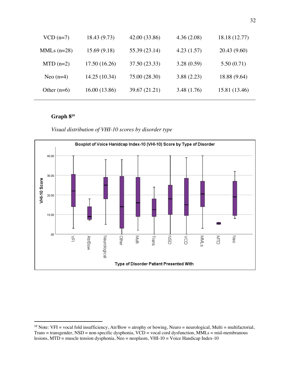| $VCD$ (n=7)   | 18.43 (9.73)  | 42.00 (33.86) | 4.36(2.08)  | 18.18 (12.77) |
|---------------|---------------|---------------|-------------|---------------|
| MMLs $(n=28)$ | 15.69(9.18)   | 55.39 (23.14) | 4.23(1.57)  | 20.43 (9.60)  |
| $MTD(n=2)$    | 17.50(16.26)  | 37.50 (23.33) | 3.28(0.59)  | 5.50(0.71)    |
| Neo $(n=4)$   | 14.25 (10.34) | 75.00 (28.30) | 3.88(2.23)  | 18.88 (9.64)  |
| Other $(n=6)$ | 16.00(13.86)  | 39.67 (21.21) | 3.48 (1.76) | 15.81 (13.46) |
|               |               |               |             |               |

*Visual distribution of VHI-10 scores by disorder type*



<sup>&</sup>lt;sup>19</sup> Note: VFI = vocal fold insufficiency, Atr/Bow = atrophy or bowing, Neuro = neurological, Multi = multifactorial, Trans = transgender, NSD = non-specific dysphonia, VCD = vocal cord dysfunction, MMLs = mid-membranous lesions, MTD = muscle tension dysphonia, Neo = neoplasm, VHI-10 = Voice Handicap Index-10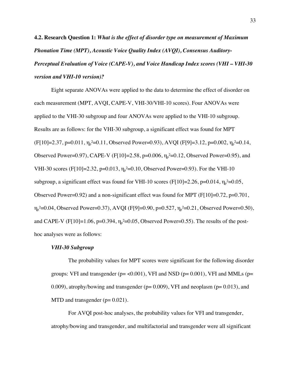**4.2. Research Question 1:** *What is the effect of disorder type on measurement of Maximum Phonation Time (MPT), Acoustic Voice Quality Index (AVQI), Consensus Auditory-Perceptual Evaluation of Voice (CAPE-V), and Voice Handicap Index scores (VHI – VHI-30 version and VHI-10 version)?*

Eight separate ANOVAs were applied to the data to determine the effect of disorder on each measurement (MPT, AVQI, CAPE-V, VHI-30/VHI-10 scores). Four ANOVAs were applied to the VHI-30 subgroup and four ANOVAs were applied to the VHI-10 subgroup. Results are as follows: for the VHI-30 subgroup, a significant effect was found for MPT  $(F[10]=2.37, p=0.011, \eta_p^2=0.11, \text{Observed Power}=0.93), AVQI (F[9]=3.12, p=0.002, \eta_p^2=0.14,$ Observed Power=0.97), CAPE-V (F[10]=2.58, p=0.006,  $\eta_{p}^{2}=0.12$ , Observed Power=0.95), and VHI-30 scores (F[10]=2.32, p=0.013,  $\eta_p^2$ =0.10, Observed Power=0.93). For the VHI-10 subgroup, a significant effect was found for VHI-10 scores (F[10]=2.26, p=0.014,  $\eta_{\rm p}^2$ =0.05, Observed Power=0.92) and a non-significant effect was found for MPT (F[10]=0.72, p=0.701,  $\eta_{p}^2$ =0.04, Observed Power=0.37), AVQI (F[9]=0.90, p=0.527,  $\eta_{p}^2$ =0.21, Observed Power=0.50), and CAPE-V (F[10]=1.06, p=0.394,  $\eta_{p}$ <sup>2</sup>=0.05, Observed Power=0.55). The results of the posthoc analyses were as follows:

#### *VHI-30 Subgroup*

The probability values for MPT scores were significant for the following disorder groups: VFI and transgender ( $p = 0.001$ ), VFI and NSD ( $p = 0.001$ ), VFI and MMLs ( $p = 0.001$ ) 0.009), atrophy/bowing and transgender ( $p= 0.009$ ), VFI and neoplasm ( $p= 0.013$ ), and MTD and transgender  $(p= 0.021)$ .

For AVQI post-hoc analyses, the probability values for VFI and transgender, atrophy/bowing and transgender, and multifactorial and transgender were all significant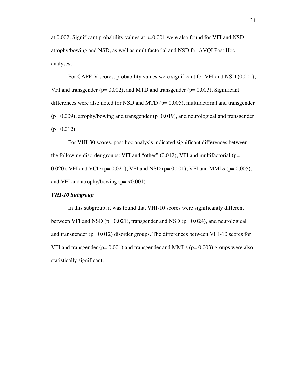at 0.002. Significant probability values at p=0.001 were also found for VFI and NSD, atrophy/bowing and NSD, as well as multifactorial and NSD for AVQI Post Hoc analyses.

For CAPE-V scores, probability values were significant for VFI and NSD (0.001), VFI and transgender ( $p= 0.002$ ), and MTD and transgender ( $p= 0.003$ ). Significant differences were also noted for NSD and MTD ( $p= 0.005$ ), multifactorial and transgender  $(p= 0.009)$ , atrophy/bowing and transgender  $(p=0.019)$ , and neurological and transgender  $(p= 0.012)$ .

For VHI-30 scores, post-hoc analysis indicated significant differences between the following disorder groups: VFI and "other"  $(0.012)$ , VFI and multifactorial (p= 0.020), VFI and VCD ( $p= 0.021$ ), VFI and NSD ( $p= 0.001$ ), VFI and MMLs ( $p= 0.005$ ), and VFI and atrophy/bowing  $(p = < 0.001)$ 

# *VHI-10 Subgroup*

In this subgroup, it was found that VHI-10 scores were significantly different between VFI and NSD ( $p= 0.021$ ), transgender and NSD ( $p= 0.024$ ), and neurological and transgender (p= 0.012) disorder groups. The differences between VHI-10 scores for VFI and transgender ( $p= 0.001$ ) and transgender and MMLs ( $p= 0.003$ ) groups were also statistically significant.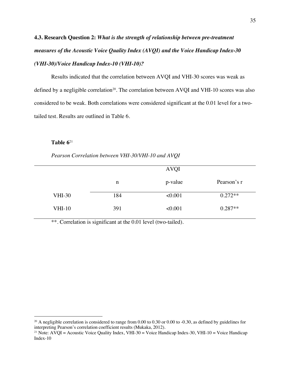# **4.3. Research Question 2:** *What is the strength of relationship between pre-treatment measures of the Acoustic Voice Quality Index (AVQI) and the Voice Handicap Index-30 (VHI-30)/Voice Handicap Index-10 (VHI-10)?*

Results indicated that the correlation between AVQI and VHI-30 scores was weak as defined by a negligible correlation<sup>20</sup>. The correlation between AVQI and VHI-10 scores was also considered to be weak. Both correlations were considered significant at the 0.01 level for a twotailed test. Results are outlined in Table 6.

#### **Table 6**<sup>21</sup>

*Pearson Correlation between VHI-30/VHI-10 and AVQI*

|               |     | <b>AVQI</b> |             |
|---------------|-----|-------------|-------------|
|               | n   | p-value     | Pearson's r |
| <b>VHI-30</b> | 184 | < 0.001     | $0.272**$   |
| <b>VHI-10</b> | 391 | < 0.001     | $0.287**$   |

\*\*. Correlation is significant at the 0.01 level (two-tailed).

<sup>&</sup>lt;sup>20</sup> A negligible correlation is considered to range from 0.00 to 0.30 or 0.00 to -0.30, as defined by guidelines for interpreting Pearson's correlation coefficient results (Mukaka, 2012).

<sup>&</sup>lt;sup>21</sup> Note: AVQI = Acoustic Voice Quality Index, VHI-30 = Voice Handicap Index-30, VHI-10 = Voice Handicap Index-10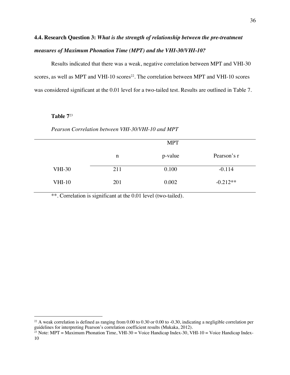# **4.4. Research Question 3:** *What is the strength of relationship between the pre-treatment measures of Maximum Phonation Time (MPT) and the VHI-30/VHI-10?*

Results indicated that there was a weak, negative correlation between MPT and VHI-30 scores, as well as MPT and VHI-10 scores<sup>22</sup>. The correlation between MPT and VHI-10 scores was considered significant at the 0.01 level for a two-tailed test. Results are outlined in Table 7.

# **Table 7**<sup>23</sup>

#### *Pearson Correlation between VHI-30/VHI-10 and MPT*

|               |     | <b>MPT</b> |             |
|---------------|-----|------------|-------------|
|               | n   | p-value    | Pearson's r |
| <b>VHI-30</b> | 211 | 0.100      | $-0.114$    |
| <b>VHI-10</b> | 201 | 0.002      | $-0.212**$  |

\*\*. Correlation is significant at the 0.01 level (two-tailed).

 $22$  A weak correlation is defined as ranging from 0.00 to 0.30 or 0.00 to -0.30, indicating a negligible correlation per guidelines for interpreting Pearson's correlation coefficient results (Mukaka, 2012).

<sup>&</sup>lt;sup>23</sup> Note: MPT = Maximum Phonation Time, VHI-30 = Voice Handicap Index-30, VHI-10 = Voice Handicap Index-10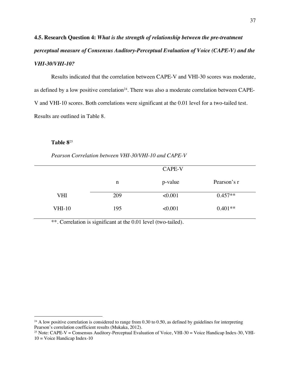**4.5. Research Question 4:** *What is the strength of relationship between the pre-treatment perceptual measure of Consensus Auditory-Perceptual Evaluation of Voice (CAPE-V) and the VHI-30/VHI-10?*

Results indicated that the correlation between CAPE-V and VHI-30 scores was moderate, as defined by a low positive correlation<sup>24</sup>. There was also a moderate correlation between CAPE-V and VHI-10 scores. Both correlations were significant at the 0.01 level for a two-tailed test. Results are outlined in Table 8.

## **Table 8**<sup>25</sup>

*Pearson Correlation between VHI-30/VHI-10 and CAPE-V*

|            |     | CAPE-V  |             |
|------------|-----|---------|-------------|
|            | n   | p-value | Pearson's r |
| <b>VHI</b> | 209 | < 0.001 | $0.457**$   |
| $VHI-10$   | 195 | < 0.001 | $0.401**$   |

\*\*. Correlation is significant at the 0.01 level (two-tailed).

<sup>&</sup>lt;sup>24</sup> A low positive correlation is considered to range from 0.30 to 0.50, as defined by guidelines for interpreting Pearson's correlation coefficient results (Mukaka, 2012).

<sup>&</sup>lt;sup>25</sup> Note: CAPE-V = Consensus Auditory-Perceptual Evaluation of Voice, VHI-30 = Voice Handicap Index-30, VHI-10 = Voice Handicap Index-10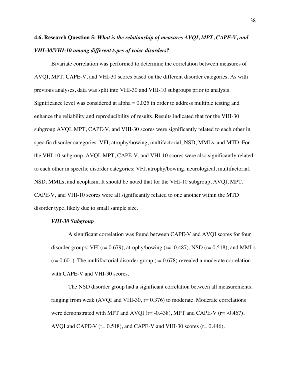# **4.6. Research Question 5:** *What is the relationship of measures AVQI, MPT, CAPE-V, and VHI-30/VHI-10 among different types of voice disorders?*

Bivariate correlation was performed to determine the correlation between measures of AVQI, MPT, CAPE-V, and VHI-30 scores based on the different disorder categories. As with previous analyses, data was split into VHI-30 and VHI-10 subgroups prior to analysis. Significance level was considered at alpha = 0.025 in order to address multiple testing and enhance the reliability and reproducibility of results. Results indicated that for the VHI-30 subgroup AVQI, MPT, CAPE-V, and VHI-30 scores were significantly related to each other in specific disorder categories: VFI, atrophy/bowing, multifactorial, NSD, MMLs, and MTD. For the VHI-10 subgroup, AVQI, MPT, CAPE-V, and VHI-10 scores were also significantly related to each other in specific disorder categories: VFI, atrophy/bowing, neurological, multifactorial, NSD, MMLs, and neoplasm. It should be noted that for the VHI-10 subgroup, AVQI, MPT, CAPE-V, and VHI-10 scores were all significantly related to one another within the MTD disorder type, likely due to small sample size.

# *VHI-30 Subgroup*

A significant correlation was found between CAPE-V and AVQI scores for four disorder groups: VFI ( $r = 0.679$ ), atrophy/bowing ( $r = -0.487$ ), NSD ( $r = 0.518$ ), and MMLs  $(r= 0.601)$ . The multifactorial disorder group  $(r= 0.678)$  revealed a moderate correlation with CAPE-V and VHI-30 scores.

The NSD disorder group had a significant correlation between all measurements, ranging from weak (AVQI and VHI-30,  $r= 0.376$ ) to moderate. Moderate correlations were demonstrated with MPT and AVQI ( $r = -0.438$ ), MPT and CAPE-V ( $r = -0.467$ ), AVQI and CAPE-V ( $r= 0.518$ ), and CAPE-V and VHI-30 scores ( $r= 0.446$ ).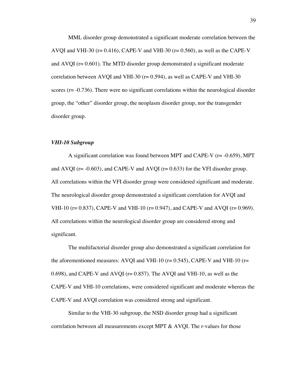MML disorder group demonstrated a significant moderate correlation between the AVQI and VHI-30 ( $r= 0.416$ ), CAPE-V and VHI-30 ( $r= 0.560$ ), as well as the CAPE-V and AVQI (r= 0.601). The MTD disorder group demonstrated a significant moderate correlation between AVQI and VHI-30 (r= 0.594), as well as CAPE-V and VHI-30 scores (r= -0.736). There were no significant correlations within the neurological disorder group, the "other" disorder group, the neoplasm disorder group, nor the transgender disorder group.

### *VHI-10 Subgroup*

A significant correlation was found between MPT and CAPE-V ( $r = -0.659$ ), MPT and AVQI ( $r = -0.603$ ), and CAPE-V and AVQI ( $r = 0.633$ ) for the VFI disorder group. All correlations within the VFI disorder group were considered significant and moderate. The neurological disorder group demonstrated a significant correlation for AVQI and VHI-10 ( $r = 0.837$ ), CAPE-V and VHI-10 ( $r = 0.947$ ), and CAPE-V and AVQI ( $r = 0.969$ ). All correlations within the neurological disorder group are considered strong and significant.

The multifactorial disorder group also demonstrated a significant correlation for the aforementioned measures: AVQI and VHI-10 ( $r= 0.545$ ), CAPE-V and VHI-10 ( $r=$ 0.698), and CAPE-V and AVOI ( $r= 0.857$ ). The AVOI and VHI-10, as well as the CAPE-V and VHI-10 correlations, were considered significant and moderate whereas the CAPE-V and AVQI correlation was considered strong and significant.

Similar to the VHI-30 subgroup, the NSD disorder group had a significant correlation between all measurements except MPT & AVQI. The r-values for those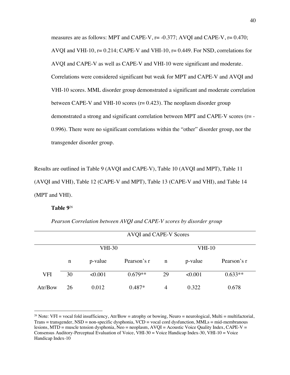measures are as follows: MPT and CAPE-V, r= -0.377; AVQI and CAPE-V, r= 0.470; AVQI and VHI-10,  $r = 0.214$ ; CAPE-V and VHI-10,  $r = 0.449$ . For NSD, correlations for AVQI and CAPE-V as well as CAPE-V and VHI-10 were significant and moderate. Correlations were considered significant but weak for MPT and CAPE-V and AVQI and VHI-10 scores. MML disorder group demonstrated a significant and moderate correlation between CAPE-V and VHI-10 scores ( $r = 0.423$ ). The neoplasm disorder group demonstrated a strong and significant correlation between MPT and CAPE-V scores (r= - 0.996). There were no significant correlations within the "other" disorder group, nor the transgender disorder group.

Results are outlined in Table 9 (AVQI and CAPE-V), Table 10 (AVQI and MPT), Table 11 (AVQI and VHI), Table 12 (CAPE-V and MPT), Table 13 (CAPE-V and VHI), and Table 14 (MPT and VHI).

#### **Table 9**<sup>26</sup>

|         |               |         | AVQI and CAPE-V Scores |    |               |             |  |
|---------|---------------|---------|------------------------|----|---------------|-------------|--|
|         | <b>VHI-30</b> |         |                        |    | <b>VHI-10</b> |             |  |
|         | n             | p-value | Pearson's r            | n  | p-value       | Pearson's r |  |
| VFI     | 30            | < 0.001 | $0.679**$              | 29 | <0.001        | $0.633**$   |  |
| Atr/Bow | 26            | 0.012   | $0.487*$               | 4  | 0.322         | 0.678       |  |

*Pearson Correlation between AVQI and CAPE-V scores by disorder group*

<sup>&</sup>lt;sup>26</sup> Note: VFI = vocal fold insufficiency, Atr/Bow = atrophy or bowing, Neuro = neurological, Multi = multifactorial, Trans = transgender, NSD = non-specific dysphonia, VCD = vocal cord dysfunction, MMLs = mid-membranous lesions, MTD = muscle tension dysphonia, Neo = neoplasm, AVQI = Acoustic Voice Quality Index, CAPE-V = Consensus Auditory-Perceptual Evaluation of Voice, VHI-30 = Voice Handicap Index-30, VHI-10 = Voice Handicap Index-10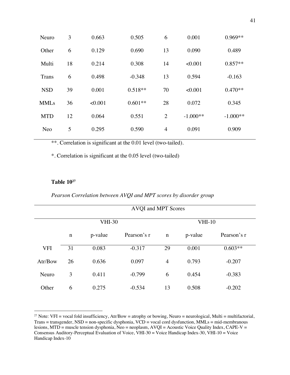| Neuro       | 3  | 0.663   | 0.505     | 6              | 0.001      | $0.969**$  |
|-------------|----|---------|-----------|----------------|------------|------------|
| Other       | 6  | 0.129   | 0.690     | 13             | 0.090      | 0.489      |
| Multi       | 18 | 0.214   | 0.308     | 14             | < 0.001    | $0.857**$  |
| Trans       | 6  | 0.498   | $-0.348$  | 13             | 0.594      | $-0.163$   |
| <b>NSD</b>  | 39 | 0.001   | $0.518**$ | 70             | < 0.001    | $0.470**$  |
| <b>MMLs</b> | 36 | < 0.001 | $0.601**$ | 28             | 0.072      | 0.345      |
| <b>MTD</b>  | 12 | 0.064   | 0.551     | 2              | $-1.000**$ | $-1.000**$ |
| Neo         | 5  | 0.295   | 0.590     | $\overline{4}$ | 0.091      | 0.909      |

\*. Correlation is significant at the 0.05 level (two-tailed)

# **Table 1027**

# *Pearson Correlation between AVQI and MPT scores by disorder group*

|            | AVQI and MPT Scores |         |             |                |               |             |  |
|------------|---------------------|---------|-------------|----------------|---------------|-------------|--|
|            | <b>VHI-30</b>       |         |             |                | <b>VHI-10</b> |             |  |
|            | $\mathbf n$         | p-value | Pearson's r | $\mathbf n$    | p-value       | Pearson's r |  |
| <b>VFI</b> | 31                  | 0.083   | $-0.317$    | 29             | 0.001         | $0.603**$   |  |
| Atr/Bow    | 26                  | 0.636   | 0.097       | $\overline{4}$ | 0.793         | $-0.207$    |  |
| Neuro      | 3                   | 0.411   | $-0.799$    | 6              | 0.454         | $-0.383$    |  |
| Other      | 6                   | 0.275   | $-0.534$    | 13             | 0.508         | $-0.202$    |  |

<sup>&</sup>lt;sup>27</sup> Note: VFI = vocal fold insufficiency, Atr/Bow = atrophy or bowing, Neuro = neurological, Multi = multifactorial, Trans = transgender, NSD = non-specific dysphonia, VCD = vocal cord dysfunction, MMLs = mid-membranous lesions, MTD = muscle tension dysphonia, Neo = neoplasm, AVQI = Acoustic Voice Quality Index, CAPE-V = Consensus Auditory-Perceptual Evaluation of Voice, VHI-30 = Voice Handicap Index-30, VHI-10 = Voice Handicap Index-10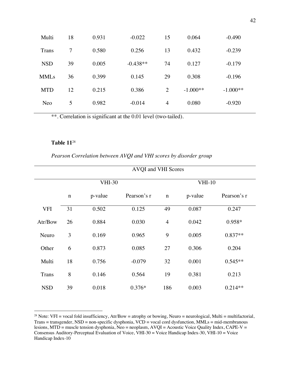| Multi        | 18             | 0.931 | $-0.022$   | 15             | 0.064      | $-0.490$   |  |
|--------------|----------------|-------|------------|----------------|------------|------------|--|
| <b>Trans</b> | $\overline{7}$ | 0.580 | 0.256      | 13             | 0.432      | $-0.239$   |  |
| <b>NSD</b>   | 39             | 0.005 | $-0.438**$ | 74             | 0.127      | $-0.179$   |  |
| <b>MMLs</b>  | 36             | 0.399 | 0.145      | 29             | 0.308      | $-0.196$   |  |
| <b>MTD</b>   | 12             | 0.215 | 0.386      | $\overline{2}$ | $-1.000**$ | $-1.000**$ |  |
| Neo          | 5              | 0.982 | $-0.014$   | $\overline{4}$ | 0.080      | $-0.920$   |  |
|              |                |       |            |                |            |            |  |

# **Table 11**<sup>28</sup>

# *Pearson Correlation between AVQI and VHI scores by disorder group*

|              |             |               | AVQI and VHI Scores |                |               |             |
|--------------|-------------|---------------|---------------------|----------------|---------------|-------------|
|              |             | <b>VHI-30</b> |                     |                | <b>VHI-10</b> |             |
|              | $\mathbf n$ | p-value       | Pearson's r         | $\mathbf n$    | p-value       | Pearson's r |
| <b>VFI</b>   | 31          | 0.502         | 0.125               | 49             | 0.087         | 0.247       |
| Atr/Bow      | 26          | 0.884         | 0.030               | $\overline{4}$ | 0.042         | 0.958*      |
| Neuro        | 3           | 0.169         | 0.965               | 9              | 0.005         | $0.837**$   |
| Other        | 6           | 0.873         | 0.085               | 27             | 0.306         | 0.204       |
| Multi        | 18          | 0.756         | $-0.079$            | 32             | 0.001         | $0.545**$   |
| <b>Trans</b> | 8           | 0.146         | 0.564               | 19             | 0.381         | 0.213       |
| <b>NSD</b>   | 39          | 0.018         | $0.376*$            | 186            | 0.003         | $0.214**$   |

<sup>&</sup>lt;sup>28</sup> Note: VFI = vocal fold insufficiency, Atr/Bow = atrophy or bowing, Neuro = neurological, Multi = multifactorial, Trans = transgender, NSD = non-specific dysphonia, VCD = vocal cord dysfunction, MMLs = mid-membranous lesions, MTD = muscle tension dysphonia, Neo = neoplasm, AVQI = Acoustic Voice Quality Index, CAPE-V = Consensus Auditory-Perceptual Evaluation of Voice, VHI-30 = Voice Handicap Index-30, VHI-10 = Voice Handicap Index-10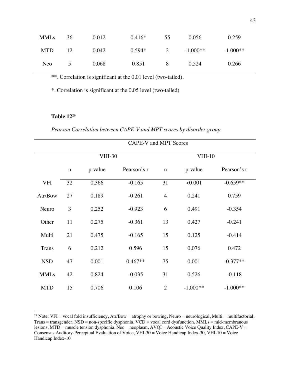| <b>MMLs</b> | 36              | 0.012 | $0.416*$ | 55 | 0.056      | 0.259      |
|-------------|-----------------|-------|----------|----|------------|------------|
| <b>MTD</b>  | 12 <sub>1</sub> | 0.042 | $0.594*$ |    | $-1.000**$ | $-1.000**$ |
| Neo         | $\sim$          | 0.068 | 0.851    | 8  | 0.524      | 0.266      |

\*. Correlation is significant at the 0.05 level (two-tailed)

# **Table 12**<sup>29</sup>

*Pearson Correlation between CAPE-V and MPT scores by disorder group*

|              | CAPE-V and MPT Scores |         |             |                |            |             |
|--------------|-----------------------|---------|-------------|----------------|------------|-------------|
|              | <b>VHI-30</b>         |         |             | $VHI-10$       |            |             |
|              | $\mathbf n$           | p-value | Pearson's r | $\mathbf n$    | p-value    | Pearson's r |
| <b>VFI</b>   | 32                    | 0.366   | $-0.165$    | 31             | < 0.001    | $-0.659**$  |
| Atr/Bow      | 27                    | 0.189   | $-0.261$    | $\overline{4}$ | 0.241      | 0.759       |
| Neuro        | 3                     | 0.252   | $-0.923$    | 6              | 0.491      | $-0.354$    |
| Other        | 11                    | 0.275   | $-0.361$    | 13             | 0.427      | $-0.241$    |
| Multi        | 21                    | 0.475   | $-0.165$    | 15             | 0.125      | $-0.414$    |
| <b>Trans</b> | 6                     | 0.212   | 0.596       | 15             | 0.076      | 0.472       |
| <b>NSD</b>   | 47                    | 0.001   | $0.467**$   | 75             | 0.001      | $-0.377**$  |
| <b>MMLs</b>  | 42                    | 0.824   | $-0.035$    | 31             | 0.526      | $-0.118$    |
| <b>MTD</b>   | 15                    | 0.706   | 0.106       | $\overline{2}$ | $-1.000**$ | $-1.000**$  |

<sup>&</sup>lt;sup>29</sup> Note: VFI = vocal fold insufficiency, Atr/Bow = atrophy or bowing, Neuro = neurological, Multi = multifactorial, Trans = transgender, NSD = non-specific dysphonia, VCD = vocal cord dysfunction, MMLs = mid-membranous lesions, MTD = muscle tension dysphonia, Neo = neoplasm, AVQI = Acoustic Voice Quality Index, CAPE-V = Consensus Auditory-Perceptual Evaluation of Voice, VHI-30 = Voice Handicap Index-30, VHI-10 = Voice Handicap Index-10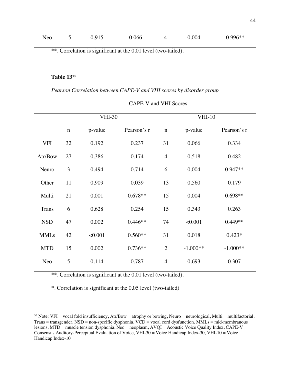| Neo | J | 0.915 | 0.066 | 4 | 0.004 | $-0.996**$ |
|-----|---|-------|-------|---|-------|------------|
|     |   |       |       |   |       |            |

# **Table 13**<sup>30</sup>

*Pearson Correlation between CAPE-V and VHI scores by disorder group*

|              | CAPE-V and VHI Scores |         |             |                |            |             |
|--------------|-----------------------|---------|-------------|----------------|------------|-------------|
|              | <b>VHI-30</b>         |         |             | $VHI-10$       |            |             |
|              | $\mathbf n$           | p-value | Pearson's r | $\mathbf n$    | p-value    | Pearson's r |
| <b>VFI</b>   | 32                    | 0.192   | 0.237       | 31             | 0.066      | 0.334       |
| Atr/Bow      | 27                    | 0.386   | 0.174       | $\overline{4}$ | 0.518      | 0.482       |
| Neuro        | 3                     | 0.494   | 0.714       | 6              | 0.004      | $0.947**$   |
| Other        | 11                    | 0.909   | 0.039       | 13             | 0.560      | 0.179       |
| Multi        | 21                    | 0.001   | $0.678**$   | 15             | 0.004      | $0.698**$   |
| <b>Trans</b> | 6                     | 0.628   | 0.254       | 15             | 0.343      | 0.263       |
| <b>NSD</b>   | 47                    | 0.002   | $0.446**$   | 74             | < 0.001    | $0.449**$   |
| <b>MMLs</b>  | 42                    | < 0.001 | $0.560**$   | 31             | 0.018      | $0.423*$    |
| <b>MTD</b>   | 15                    | 0.002   | 0.736**     | $\overline{2}$ | $-1.000**$ | $-1.000**$  |
| Neo          | 5                     | 0.114   | 0.787       | $\overline{4}$ | 0.693      | 0.307       |

\*\*. Correlation is significant at the 0.01 level (two-tailed).

\*. Correlation is significant at the 0.05 level (two-tailed)

<sup>&</sup>lt;sup>30</sup> Note: VFI = vocal fold insufficiency, Atr/Bow = atrophy or bowing, Neuro = neurological, Multi = multifactorial, Trans = transgender, NSD = non-specific dysphonia, VCD = vocal cord dysfunction, MMLs = mid-membranous lesions, MTD = muscle tension dysphonia, Neo = neoplasm, AVQI = Acoustic Voice Quality Index, CAPE-V = Consensus Auditory-Perceptual Evaluation of Voice, VHI-30 = Voice Handicap Index-30, VHI-10 = Voice Handicap Index-10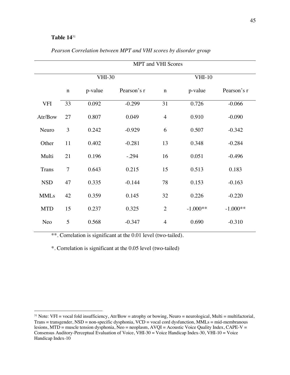# **Table 14**<sup>31</sup>

|              | <b>MPT</b> and VHI Scores |         |             |                |            |             |  |
|--------------|---------------------------|---------|-------------|----------------|------------|-------------|--|
|              | <b>VHI-30</b>             |         |             | $VHI-10$       |            |             |  |
|              | $\mathbf n$               | p-value | Pearson's r | $\mathbf n$    | p-value    | Pearson's r |  |
| <b>VFI</b>   | 33                        | 0.092   | $-0.299$    | 31             | 0.726      | $-0.066$    |  |
| Atr/Bow      | 27                        | 0.807   | 0.049       | $\overline{4}$ | 0.910      | $-0.090$    |  |
| Neuro        | 3                         | 0.242   | $-0.929$    | 6              | 0.507      | $-0.342$    |  |
| Other        | 11                        | 0.402   | $-0.281$    | 13             | 0.348      | $-0.284$    |  |
| Multi        | 21                        | 0.196   | $-.294$     | 16             | 0.051      | $-0.496$    |  |
| <b>Trans</b> | $\overline{7}$            | 0.643   | 0.215       | 15             | 0.513      | 0.183       |  |
| <b>NSD</b>   | 47                        | 0.335   | $-0.144$    | 78             | 0.153      | $-0.163$    |  |
| <b>MMLs</b>  | 42                        | 0.359   | 0.145       | 32             | 0.226      | $-0.220$    |  |
| <b>MTD</b>   | 15                        | 0.237   | 0.325       | $\overline{2}$ | $-1.000**$ | $-1.000**$  |  |
| Neo          | 5                         | 0.568   | $-0.347$    | $\overline{4}$ | 0.690      | $-0.310$    |  |

*Pearson Correlation between MPT and VHI scores by disorder group*

\*\*. Correlation is significant at the 0.01 level (two-tailed).

\*. Correlation is significant at the 0.05 level (two-tailed)

<sup>&</sup>lt;sup>31</sup> Note: VFI = vocal fold insufficiency, Atr/Bow = atrophy or bowing, Neuro = neurological, Multi = multifactorial, Trans = transgender, NSD = non-specific dysphonia, VCD = vocal cord dysfunction, MMLs = mid-membranous lesions, MTD = muscle tension dysphonia, Neo = neoplasm, AVQI = Acoustic Voice Quality Index, CAPE-V = Consensus Auditory-Perceptual Evaluation of Voice, VHI-30 = Voice Handicap Index-30, VHI-10 = Voice Handicap Index-10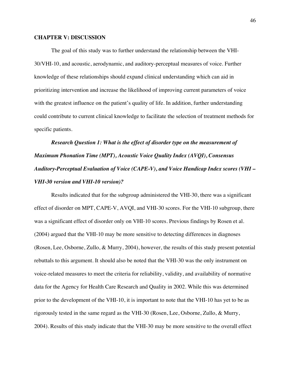## **CHAPTER V: DISCUSSION**

The goal of this study was to further understand the relationship between the VHI-30/VHI-10, and acoustic, aerodynamic, and auditory-perceptual measures of voice. Further knowledge of these relationships should expand clinical understanding which can aid in prioritizing intervention and increase the likelihood of improving current parameters of voice with the greatest influence on the patient's quality of life. In addition, further understanding could contribute to current clinical knowledge to facilitate the selection of treatment methods for specific patients.

*Research Question 1: What is the effect of disorder type on the measurement of Maximum Phonation Time (MPT), Acoustic Voice Quality Index (AVQI), Consensus Auditory-Perceptual Evaluation of Voice (CAPE-V), and Voice Handicap Index scores (VHI – VHI-30 version and VHI-10 version)?*

Results indicated that for the subgroup administered the VHI-30, there was a significant effect of disorder on MPT, CAPE-V, AVQI, and VHI-30 scores. For the VHI-10 subgroup, there was a significant effect of disorder only on VHI-10 scores. Previous findings by Rosen et al. (2004) argued that the VHI-10 may be more sensitive to detecting differences in diagnoses (Rosen, Lee, Osborne, Zullo, & Murry, 2004), however, the results of this study present potential rebuttals to this argument. It should also be noted that the VHI-30 was the only instrument on voice-related measures to meet the criteria for reliability, validity, and availability of normative data for the Agency for Health Care Research and Quality in 2002. While this was determined prior to the development of the VHI-10, it is important to note that the VHI-10 has yet to be as rigorously tested in the same regard as the VHI-30 (Rosen, Lee, Osborne, Zullo, & Murry, 2004). Results of this study indicate that the VHI-30 may be more sensitive to the overall effect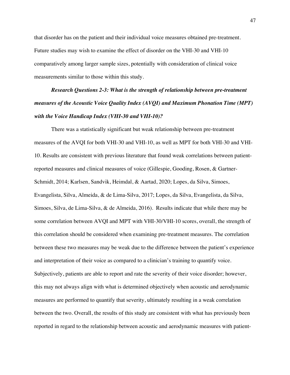that disorder has on the patient and their individual voice measures obtained pre-treatment. Future studies may wish to examine the effect of disorder on the VHI-30 and VHI-10 comparatively among larger sample sizes, potentially with consideration of clinical voice measurements similar to those within this study.

# *Research Questions 2-3: What is the strength of relationship between pre-treatment measures of the Acoustic Voice Quality Index (AVQI) and Maximum Phonation Time (MPT) with the Voice Handicap Index (VHI-30 and VHI-10)?*

There was a statistically significant but weak relationship between pre-treatment measures of the AVQI for both VHI-30 and VHI-10, as well as MPT for both VHI-30 and VHI-10. Results are consistent with previous literature that found weak correlations between patientreported measures and clinical measures of voice (Gillespie, Gooding, Rosen, & Gartner-Schmidt, 2014; Karlsen, Sandvik, Heimdal, & Aartad, 2020; Lopes, da Silva, Simoes, Evangelista, Silva, Almeida, & de Lima-Silva, 2017; Lopes, da Silva, Evangelista, da Silva, Simoes, Silva, de Lima-Silva, & de Almeida, 2016). Results indicate that while there may be some correlation between AVQI and MPT with VHI-30/VHI-10 scores, overall, the strength of this correlation should be considered when examining pre-treatment measures. The correlation between these two measures may be weak due to the difference between the patient's experience and interpretation of their voice as compared to a clinician's training to quantify voice. Subjectively, patients are able to report and rate the severity of their voice disorder; however, this may not always align with what is determined objectively when acoustic and aerodynamic measures are performed to quantify that severity, ultimately resulting in a weak correlation between the two. Overall, the results of this study are consistent with what has previously been reported in regard to the relationship between acoustic and aerodynamic measures with patient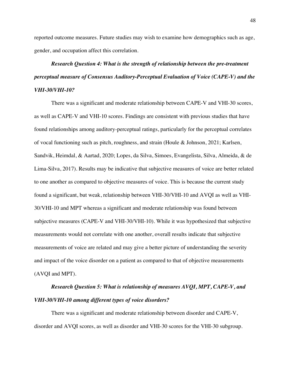reported outcome measures. Future studies may wish to examine how demographics such as age, gender, and occupation affect this correlation.

# *Research Question 4: What is the strength of relationship between the pre-treatment perceptual measure of Consensus Auditory-Perceptual Evaluation of Voice (CAPE-V) and the VHI-30/VHI-10?*

There was a significant and moderate relationship between CAPE-V and VHI-30 scores, as well as CAPE-V and VHI-10 scores. Findings are consistent with previous studies that have found relationships among auditory-perceptual ratings, particularly for the perceptual correlates of vocal functioning such as pitch, roughness, and strain (Houle & Johnson, 2021; Karlsen, Sandvik, Heimdal, & Aartad, 2020; Lopes, da Silva, Simoes, Evangelista, Silva, Almeida, & de Lima-Silva, 2017). Results may be indicative that subjective measures of voice are better related to one another as compared to objective measures of voice. This is because the current study found a significant, but weak, relationship between VHI-30/VHI-10 and AVQI as well as VHI-30/VHI-10 and MPT whereas a significant and moderate relationship was found between subjective measures (CAPE-V and VHI-30/VHI-10). While it was hypothesized that subjective measurements would not correlate with one another, overall results indicate that subjective measurements of voice are related and may give a better picture of understanding the severity and impact of the voice disorder on a patient as compared to that of objective measurements (AVQI and MPT).

# *Research Question 5: What is relationship of measures AVQI, MPT, CAPE-V, and VHI-30/VHI-10 among different types of voice disorders?*

There was a significant and moderate relationship between disorder and CAPE-V, disorder and AVQI scores, as well as disorder and VHI-30 scores for the VHI-30 subgroup.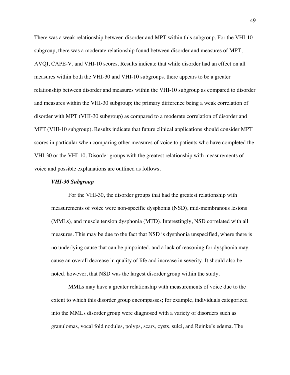There was a weak relationship between disorder and MPT within this subgroup. For the VHI-10 subgroup, there was a moderate relationship found between disorder and measures of MPT, AVQI, CAPE-V, and VHI-10 scores. Results indicate that while disorder had an effect on all measures within both the VHI-30 and VHI-10 subgroups, there appears to be a greater relationship between disorder and measures within the VHI-10 subgroup as compared to disorder and measures within the VHI-30 subgroup; the primary difference being a weak correlation of disorder with MPT (VHI-30 subgroup) as compared to a moderate correlation of disorder and MPT (VHI-10 subgroup). Results indicate that future clinical applications should consider MPT scores in particular when comparing other measures of voice to patients who have completed the VHI-30 or the VHI-10. Disorder groups with the greatest relationship with measurements of voice and possible explanations are outlined as follows.

#### *VHI-30 Subgroup*

For the VHI-30, the disorder groups that had the greatest relationship with measurements of voice were non-specific dysphonia (NSD), mid-membranous lesions (MMLs), and muscle tension dysphonia (MTD). Interestingly, NSD correlated with all measures. This may be due to the fact that NSD is dysphonia unspecified, where there is no underlying cause that can be pinpointed, and a lack of reasoning for dysphonia may cause an overall decrease in quality of life and increase in severity. It should also be noted, however, that NSD was the largest disorder group within the study.

MMLs may have a greater relationship with measurements of voice due to the extent to which this disorder group encompasses; for example, individuals categorized into the MMLs disorder group were diagnosed with a variety of disorders such as granulomas, vocal fold nodules, polyps, scars, cysts, sulci, and Reinke's edema. The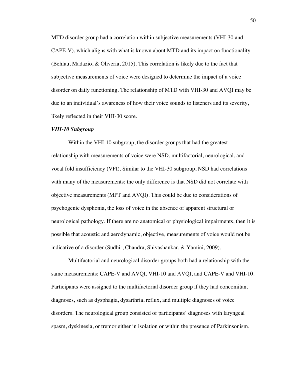MTD disorder group had a correlation within subjective measurements (VHI-30 and CAPE-V), which aligns with what is known about MTD and its impact on functionality (Behlau, Madazio, & Oliveria, 2015). This correlation is likely due to the fact that subjective measurements of voice were designed to determine the impact of a voice disorder on daily functioning. The relationship of MTD with VHI-30 and AVQI may be due to an individual's awareness of how their voice sounds to listeners and its severity, likely reflected in their VHI-30 score.

#### *VHI-10 Subgroup*

Within the VHI-10 subgroup, the disorder groups that had the greatest relationship with measurements of voice were NSD, multifactorial, neurological, and vocal fold insufficiency (VFI). Similar to the VHI-30 subgroup, NSD had correlations with many of the measurements; the only difference is that NSD did not correlate with objective measurements (MPT and AVQI). This could be due to considerations of psychogenic dysphonia, the loss of voice in the absence of apparent structural or neurological pathology. If there are no anatomical or physiological impairments, then it is possible that acoustic and aerodynamic, objective, measurements of voice would not be indicative of a disorder (Sudhir, Chandra, Shivashankar, & Yamini, 2009).

Multifactorial and neurological disorder groups both had a relationship with the same measurements: CAPE-V and AVQI, VHI-10 and AVQI, and CAPE-V and VHI-10. Participants were assigned to the multifactorial disorder group if they had concomitant diagnoses, such as dysphagia, dysarthria, reflux, and multiple diagnoses of voice disorders. The neurological group consisted of participants' diagnoses with laryngeal spasm, dyskinesia, or tremor either in isolation or within the presence of Parkinsonism.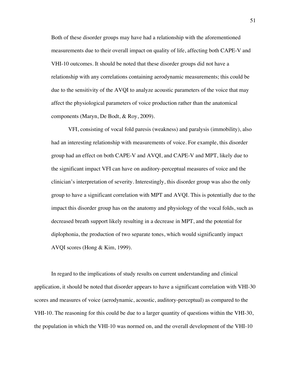Both of these disorder groups may have had a relationship with the aforementioned measurements due to their overall impact on quality of life, affecting both CAPE-V and VHI-10 outcomes. It should be noted that these disorder groups did not have a relationship with any correlations containing aerodynamic measurements; this could be due to the sensitivity of the AVQI to analyze acoustic parameters of the voice that may affect the physiological parameters of voice production rather than the anatomical components (Maryn, De Bodt, & Roy, 2009).

VFI, consisting of vocal fold paresis (weakness) and paralysis (immobility), also had an interesting relationship with measurements of voice. For example, this disorder group had an effect on both CAPE-V and AVQI, and CAPE-V and MPT, likely due to the significant impact VFI can have on auditory-perceptual measures of voice and the clinician's interpretation of severity. Interestingly, this disorder group was also the only group to have a significant correlation with MPT and AVQI. This is potentially due to the impact this disorder group has on the anatomy and physiology of the vocal folds, such as decreased breath support likely resulting in a decrease in MPT, and the potential for diplophonia, the production of two separate tones, which would significantly impact AVQI scores (Hong & Kim, 1999).

In regard to the implications of study results on current understanding and clinical application, it should be noted that disorder appears to have a significant correlation with VHI-30 scores and measures of voice (aerodynamic, acoustic, auditory-perceptual) as compared to the VHI-10. The reasoning for this could be due to a larger quantity of questions within the VHI-30, the population in which the VHI-10 was normed on, and the overall development of the VHI-10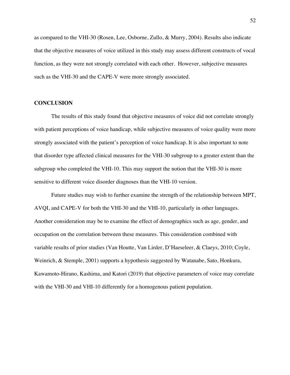as compared to the VHI-30 (Rosen, Lee, Osborne, Zullo, & Murry, 2004). Results also indicate that the objective measures of voice utilized in this study may assess different constructs of vocal function, as they were not strongly correlated with each other. However, subjective measures such as the VHI-30 and the CAPE-V were more strongly associated.

## **CONCLUSION**

The results of this study found that objective measures of voice did not correlate strongly with patient perceptions of voice handicap, while subjective measures of voice quality were more strongly associated with the patient's perception of voice handicap. It is also important to note that disorder type affected clinical measures for the VHI-30 subgroup to a greater extent than the subgroup who completed the VHI-10. This may support the notion that the VHI-30 is more sensitive to different voice disorder diagnoses than the VHI-10 version.

Future studies may wish to further examine the strength of the relationship between MPT, AVQI, and CAPE-V for both the VHI-30 and the VHI-10, particularly in other languages. Another consideration may be to examine the effect of demographics such as age, gender, and occupation on the correlation between these measures. This consideration combined with variable results of prior studies (Van Houtte, Van Lirder, D'Haeseleer, & Claeys, 2010; Coyle, Weinrich, & Stemple, 2001) supports a hypothesis suggested by Watanabe, Sato, Honkura, Kawamoto-Hirano, Kashima, and Katori (2019) that objective parameters of voice may correlate with the VHI-30 and VHI-10 differently for a homogenous patient population.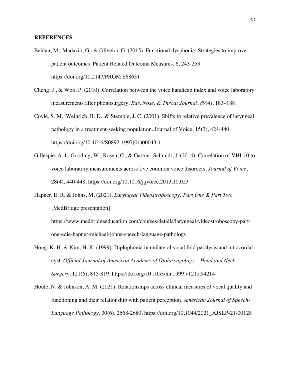# **REFERENCES**

- Behlau, M., Madazio, G., & Oliveira, G. (2015). Functional dysphonia: Strategies to improve patient outcomes. Patient Related Outcome Measures, 6, 243-253. https://doi.org/10.2147/PROM.S68631
- Cheng, J., & Woo, P. (2010). Correlation between the voice handicap index and voice laboratory measurements after phonosurgery. *Ear, Nose, & Throat Journal*, *89*(4), 183–188.
- Coyle, S. M., Weinrich, B. D., & Stemple, J. C. (2001). Shifts in relative prevalence of laryngeal pathology in a treatment-seeking population. Journal of Voice, 15(3), 424-440. https://doi.org/10.1016/S0892-1997(01)00043-1
- Gillespie, A. I., Gooding, W., Rosen, C., & Gartner-Schmidt, J. (2014). Correlation of VHI-10 to voice laboratory measurements across five common voice disorders. *Journal of Voice*, 28(4), 440-448. https://doi.org/10.1016/j.jvoice.2013.10.023
- Hapner, E. R. & Johns, M. (2021). *Laryngeal Videostroboscopy: Part One & Part Two* [MedBridge presentation].

https://www.medbridgeeducation.com/courses/details/laryngeal-videostroboscopy-partone-edie-hapner-michael-johns-speech-language-pathology

- Hong, K. H. & Kim, H. K. (1999). Diplophonia in unilateral vocal fold paralysis and intracordal cyst. *Official Journal of American Academy of Otolaryngology – Head and Neck Surgery*, 121(6), 815-819. https://doi.org/10.1053/hn.1999.v121.a94214
- Houle, N. & Johnson, A. M. (2021). Relationships across clinical measures of vocal quality and functioning and their relationship with patient perception. *American Journal of Speech-Language Pathology*, 30(6), 2668-2680. https://doi.org/10.1044/2021\_AJSLP-21-00128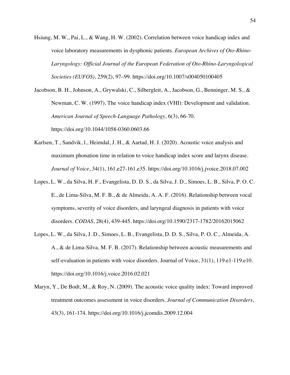Hsiung, M. W., Pai, L., & Wang, H. W. (2002). Correlation between voice handicap index and voice laboratory measurements in dysphonic patients. *European Archives of Oto-Rhino-Laryngology: Official Journal of the European Federation of Oto-Rhino-Laryngological Societies (EUFOS)*, 259(2), 97–99. https://doi.org/10.1007/s004050100405

Jacobson, B. H., Johnson, A., Grywalski, C., Silbergleit, A., Jacobson, G., Benninger, M. S., & Newman, C. W. (1997). The voice handicap index (VHI): Development and validation. *American Journal of Speech-Language Pathology*, 6(3), 66-70. https://doi.org/10.1044/1058-0360.0603.66

- Karlsen, T., Sandvik, l., Heimdal, J. H., & Aartad, H. J. (2020). Acoustic voice analysis and maximum phonation time in relation to voice handicap index score and larynx disease. *Journal of Voice*, 34(1), 161.e27-161.e35. https://doi.org/10.1016/j.jvoice.2018.07.002
- Lopes, L. W., da Silva, H. F., Evangelista, D. D. S., da Silva, J. D., Simoes, L. B., Silva, P. O. C. E., de Lima-Silva, M. F. B., & de Almeida, A. A. F. (2016). Relationship between vocal symptoms, severity of voice disorders, and laryngeal diagnosis in patients with voice disorders. *CODAS*, 28(4), 439-445. https://doi.org/10.1590/2317-1782/20162015062
- Lopes, L. W., da Silva, J. D., Simoes, L. B., Evangelista, D. D. S., Silva, P. O. C., Almeida, A. A., & de Lima-Silva, M. F. B. (2017). Relationship between acoustic measurements and self-evaluation in patients with voice disorders. Journal of Voice, 31(1), 119.e1-119.e10. https://doi.org/10.1016/j.voice.2016.02.021
- Maryn, Y., De Bodt, M., & Roy, N. (2009). The acoustic voice quality index: Toward improved treatment outcomes assessment in voice disorders. *Journal of Communication Disorders*, 43(3), 161-174. https://doi.org/10.1016/j.jcomdis.2009.12.004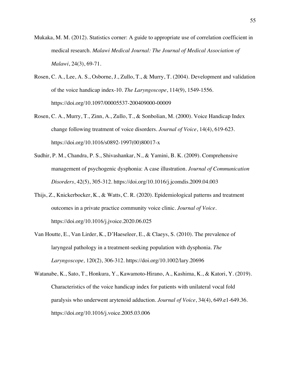- Mukaka, M. M. (2012). Statistics corner: A guide to appropriate use of correlation coefficient in medical research. *Malawi Medical Journal: The Journal of Medical Association of Malawi*, 24(3), 69-71.
- Rosen, C. A., Lee, A. S., Osborne, J., Zullo, T., & Murry, T. (2004). Development and validation of the voice handicap index-10. *The Laryngoscope*, 114(9), 1549-1556. https://doi.org/10.1097/00005537-200409000-00009
- Rosen, C. A., Murry, T., Zinn, A., Zullo, T., & Sonbolian, M. (2000). Voice Handicap Index change following treatment of voice disorders. *Journal of Voice*, 14(4), 619-623. https://doi.org/10.1016/s0892-1997(00)80017-x
- Sudhir, P. M., Chandra, P. S., Shivashankar, N., & Yamini, B. K. (2009). Comprehensive management of psychogenic dysphonia: A case illustration. *Journal of Communication Disorders*, 42(5), 305-312. https://doi.org/10.1016/j.jcomdis.2009.04.003
- Thijs, Z., Knickerbocker, K., & Watts, C. R. (2020). Epidemiological patterns and treatment outcomes in a private practice community voice clinic. *Journal of Voice*. https://doi.org/10.1016/j.jvoice.2020.06.025
- Van Houtte, E., Van Lirder, K., D'Haeseleer, E., & Claeys, S. (2010). The prevalence of laryngeal pathology in a treatment-seeking population with dysphonia. *The Laryngoscope,* 120(2), 306-312. https://doi.org/10.1002/lary.20696
- Watanabe, K., Sato, T., Honkura, Y., Kawamoto-Hirano, A., Kashima, K., & Katori, Y. (2019). Characteristics of the voice handicap index for patients with unilateral vocal fold paralysis who underwent arytenoid adduction. *Journal of Voice*, 34(4), 649.e1-649.36. https://doi.org/10.1016/j.voice.2005.03.006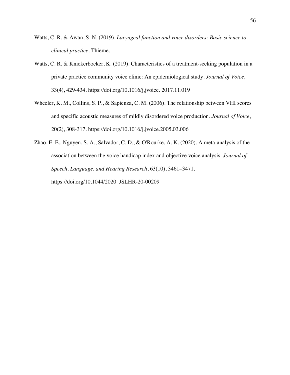- Watts, C. R. & Awan, S. N. (2019). *Laryngeal function and voice disorders: Basic science to clinical practice*. Thieme.
- Watts, C. R. & Knickerbocker, K. (2019). Characteristics of a treatment-seeking population in a private practice community voice clinic: An epidemiological study. *Journal of Voice*, 33(4), 429-434. https://doi.org/10.1016/j.jvoice. 2017.11.019
- Wheeler, K. M., Collins, S. P., & Sapienza, C. M. (2006). The relationship between VHI scores and specific acoustic measures of mildly disordered voice production. *Journal of Voice*, 20(2), 308-317. https://doi.org/10.1016/j.jvoice.2005.03.006
- Zhao, E. E., Nguyen, S. A., Salvador, C. D., & O'Rourke, A. K. (2020). A meta-analysis of the association between the voice handicap index and objective voice analysis. *Journal of Speech, Language, and Hearing Research*, 63(10), 3461–3471. https://doi.org/10.1044/2020\_JSLHR-20-00209